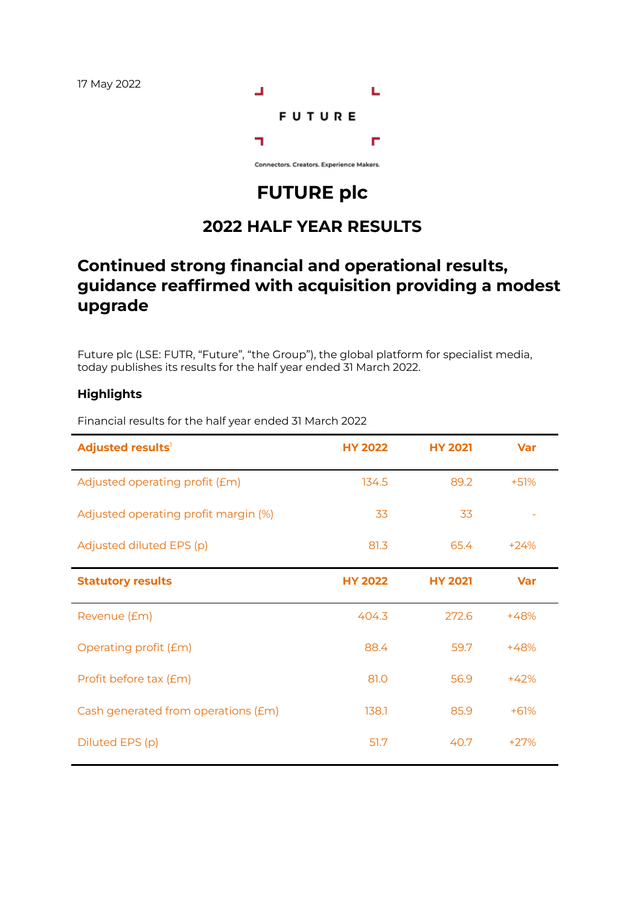

Connectors. Creators. Experience Makers.

# **FUTURE plc**

## **2022 HALF YEAR RESULTS**

## **Continued strong financial and operational results, guidance reaffirmed with acquisition providing a modest upgrade**

Future plc (LSE: FUTR, "Future", "the Group"), the global platform for specialist media, today publishes its results for the half year ended 31 March 2022.

### **Highlights**

| Adjusted results <sup>1</sup>        | <b>HY 2022</b> | <b>HY 2021</b> | <b>Var</b> |
|--------------------------------------|----------------|----------------|------------|
| Adjusted operating profit (£m)       | 134.5          | 89.2           | $+51%$     |
| Adjusted operating profit margin (%) | 33             | 33             |            |
| Adjusted diluted EPS (p)             | 81.3           | 65.4           | $+24%$     |
| <b>Statutory results</b>             | <b>HY 2022</b> | <b>HY 2021</b> | <b>Var</b> |
| Revenue (£m)                         | 404.3          | 272.6          | $+48%$     |
| Operating profit (£m)                | 88.4           | 59.7           | $+48%$     |
| Profit before tax (£m)               | 81.0           | 56.9           | $+42%$     |
| Cash generated from operations (£m)  | 138.1          | 85.9           | $+61%$     |
| Diluted EPS (p)                      | 51.7           | 40.7           | $+27%$     |

Financial results for the half year ended 31 March 2022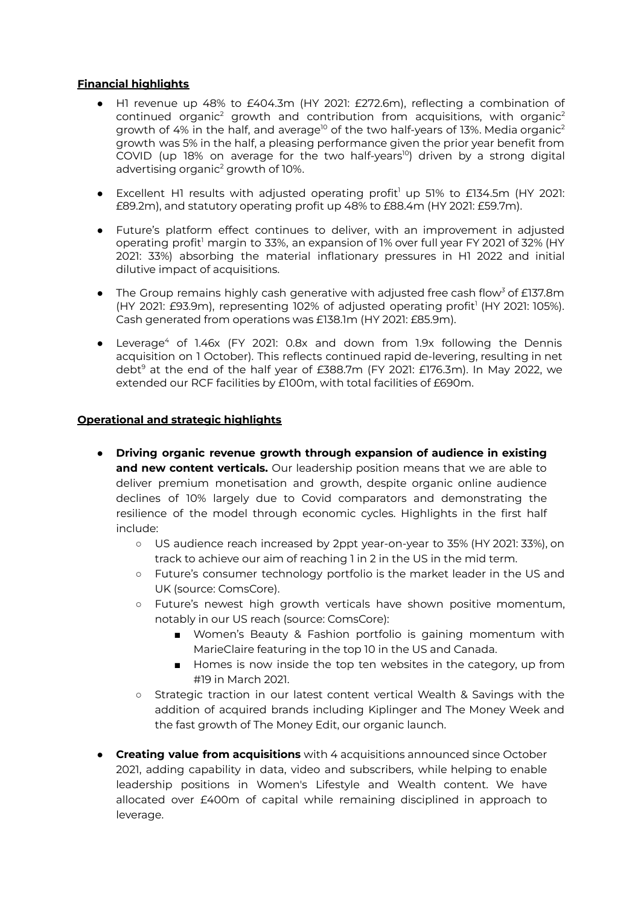#### **Financial highlights**

- H1 revenue up 48% to £404.3m (HY 2021: £272.6m), reflecting a combination of continued organic<sup>2</sup> growth and contribution from acquisitions, with organic<sup>2</sup> growth of 4% in the half, and average $^{\text{lo}}$  of the two half-years of 13%. Media organic $^{\text{2}}$ growth was 5% in the half, a pleasing performance given the prior year benefit from COVID (up 18% on average for the two half-years<sup>10</sup>) driven by a strong digital advertising organic <sup>2</sup> growth of 10%.
- Excellent H1 results with adjusted operating profit<sup>1</sup> up 51% to £134.5m (HY 2021: £89.2m), and statutory operating profit up 48% to £88.4m (HY 2021: £59.7m).
- Future's platform effect continues to deliver, with an improvement in adjusted operating profit<sup>1</sup> margin to 33%, an expansion of 1% over full year FY 2021 of 32% (HY 2021: 33%) absorbing the material inflationary pressures in H1 2022 and initial dilutive impact of acquisitions.
- The Group remains highly cash generative with adjusted free cash flow*<sup>3</sup>* of £137.8m (HY 2021: £93.9m), representing 102% of adjusted operating profit 1 (HY 2021: 105%). Cash generated from operations was £138.1m (HY 2021: £85.9m).
- Leverage<sup>4</sup> of 1.46x (FY 2021: 0.8x and down from 1.9x following the Dennis acquisition on 1 October). This reflects continued rapid de-levering, resulting in net debt <sup>9</sup> at the end of the half year of £388.7m (FY 2021: £176.3m). In May 2022, we extended our RCF facilities by £100m, with total facilities of £690m.

#### **Operational and strategic highlights**

- **Driving organic revenue growth through expansion of audience in existing and new content verticals.** Our leadership position means that we are able to deliver premium monetisation and growth, despite organic online audience declines of 10% largely due to Covid comparators and demonstrating the resilience of the model through economic cycles. Highlights in the first half include:
	- US audience reach increased by 2ppt year-on-year to 35% (HY 2021: 33%), on track to achieve our aim of reaching 1 in 2 in the US in the mid term.
	- Future's consumer technology portfolio is the market leader in the US and UK (source: ComsCore).
	- Future's newest high growth verticals have shown positive momentum, notably in our US reach (source: ComsCore):
		- Women's Beauty & Fashion portfolio is gaining momentum with MarieClaire featuring in the top 10 in the US and Canada.
		- Homes is now inside the top ten websites in the category, up from #19 in March 2021.
	- Strategic traction in our latest content vertical Wealth & Savings with the addition of acquired brands including Kiplinger and The Money Week and the fast growth of The Money Edit, our organic launch.
- **● Creating value from acquisitions** with 4 acquisitions announced since October 2021, adding capability in data, video and subscribers, while helping to enable leadership positions in Women's Lifestyle and Wealth content. We have allocated over £400m of capital while remaining disciplined in approach to leverage.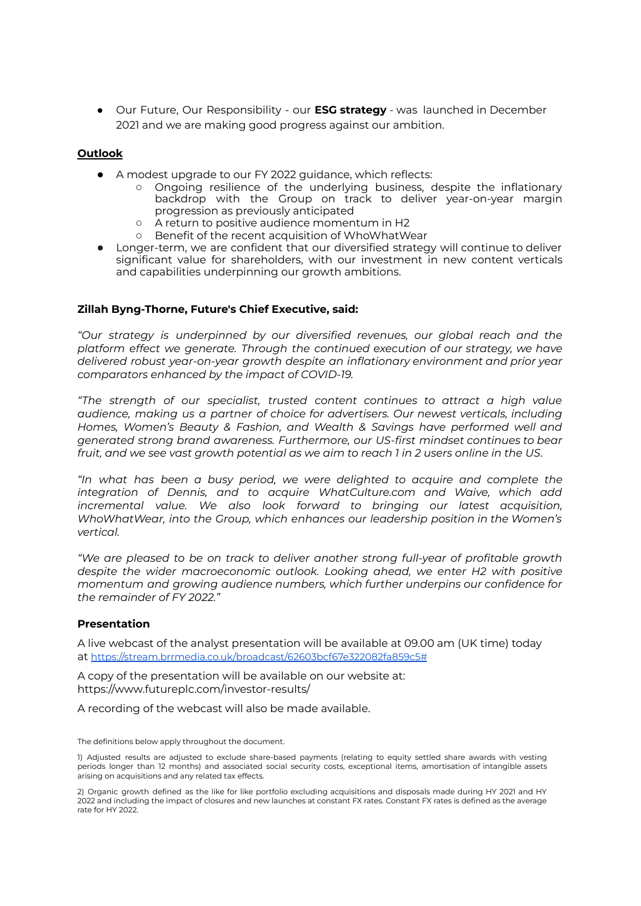**●** Our Future, Our Responsibility - our **ESG strategy** - was launched in December 2021 and we are making good progress against our ambition.

#### **Outlook**

- A modest upgrade to our FY 2022 guidance, which reflects:
	- Ongoing resilience of the underlying business, despite the inflationary backdrop with the Group on track to deliver year-on-year margin progression as previously anticipated
	- A return to positive audience momentum in H2
	- Benefit of the recent acquisition of WhoWhatWear
- Longer-term, we are confident that our diversified strategy will continue to deliver significant value for shareholders, with our investment in new content verticals and capabilities underpinning our growth ambitions.

#### **Zillah Byng-Thorne, Future's Chief Executive, said:**

*"Our strategy is underpinned by our diversified revenues, our global reach and the platform effect we generate. Through the continued execution of our strategy, we have delivered robust year-on-year growth despite an inflationary environment and prior year comparators enhanced by the impact of COVID-19.*

*"The strength of our specialist, trusted content continues to attract a high value audience, making us a partner of choice for advertisers. Our newest verticals, including Homes, Women's Beauty & Fashion, and Wealth & Savings have performed well and generated strong brand awareness. Furthermore, our US-first mindset continues to bear* fruit, and we see vast growth potential as we aim to reach 1 in 2 users online in the US.

*"In what has been a busy period, we were delighted to acquire and complete the integration of Dennis, and to acquire WhatCulture.com and Waive, which add incremental value. We also look forward to bringing our latest acquisition, WhoWhatWear, into the Group, which enhances our leadership position in the Women's vertical.*

*"We are pleased to be on track to deliver another strong full-year of profitable growth despite the wider macroeconomic outlook. Looking ahead, we enter H2 with positive momentum and growing audience numbers, which further underpins our confidence for the remainder of FY 2022."*

#### **Presentation**

A live webcast of the analyst presentation will be available at 09.00 am (UK time) today at [https://stream.brrmedia.co.uk/broadcast/62603bcf67e322082fa859c5#](https://stream.brrmedia.co.uk/broadcast/62603bcf67e322082fa859c5)

A copy of the presentation will be available on our website at: https://www.futureplc.com/investor-results/

A recording of the webcast will also be made available.

The definitions below apply throughout the document.

1) Adjusted results are adjusted to exclude share-based payments (relating to equity settled share awards with vesting periods longer than 12 months) and associated social security costs, exceptional items, amortisation of intangible assets arising on acquisitions and any related tax effects.

2) Organic growth defined as the like for like portfolio excluding acquisitions and disposals made during HY 2021 and HY 2022 and including the impact of closures and new launches at constant FX rates. Constant FX rates is defined as the average rate for HY 2022.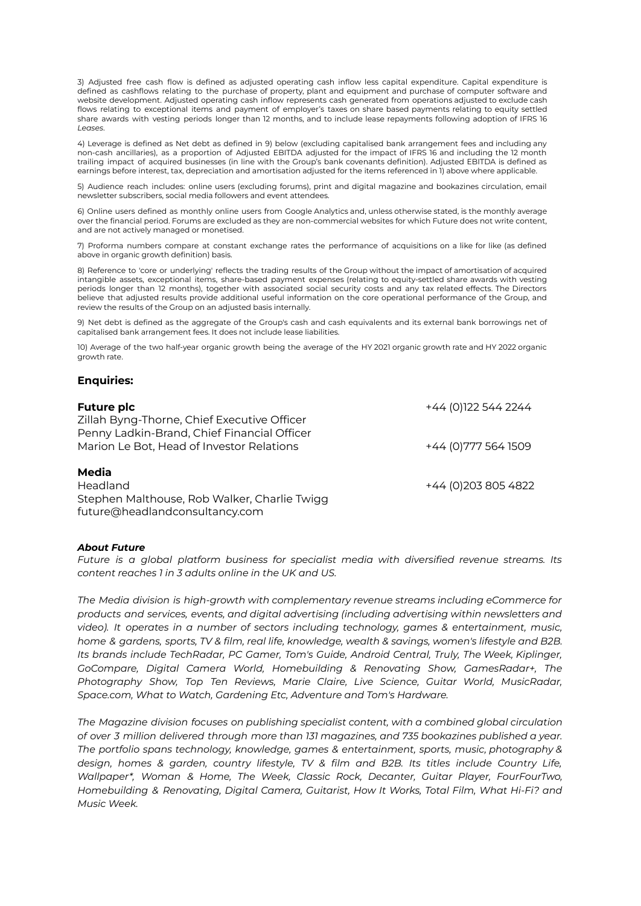3) Adjusted free cash flow is defined as adjusted operating cash inflow less capital expenditure. Capital expenditure is defined as cashflows relating to the purchase of property, plant and equipment and purchase of computer software and website development. Adjusted operating cash inflow represents cash generated from operations adjusted to exclude cash flows relating to exceptional items and payment of employer's taxes on share based payments relating to equity settled share awards with vesting periods longer than 12 months, and to include lease repayments following adoption of IFRS 16 *Leases*.

4) Leverage is defined as Net debt as defined in 9) below (excluding capitalised bank arrangement fees and including any non-cash ancillaries), as a proportion of Adjusted EBITDA adjusted for the impact of IFRS 16 and including the 12 month trailing impact of acquired businesses (in line with the Group's bank covenants definition). Adjusted EBITDA is defined as earnings before interest, tax, depreciation and amortisation adjusted for the items referenced in 1) above where applicable.

5) Audience reach includes: online users (excluding forums), print and digital magazine and bookazines circulation, email newsletter subscribers, social media followers and event attendees.

6) Online users defined as monthly online users from Google Analytics and, unless otherwise stated, is the monthly average over the financial period. Forums are excluded as they are non-commercial websites for which Future does not write content, and are not actively managed or monetised.

7) Proforma numbers compare at constant exchange rates the performance of acquisitions on a like for like (as defined above in organic growth definition) basis.

8) Reference to 'core or underlying' reflects the trading results of the Group without the impact of amortisation of acquired intangible assets, exceptional items, share-based payment expenses (relating to equity-settled share awards with vesting periods longer than 12 months), together with associated social security costs and any tax related effects. The Directors believe that adjusted results provide additional useful information on the core operational performance of the Group, and review the results of the Group on an adjusted basis internally.

9) Net debt is defined as the aggregate of the Group's cash and cash equivalents and its external bank borrowings net of capitalised bank arrangement fees. It does not include lease liabilities.

10) Average of the two half-year organic growth being the average of the HY 2021 organic growth rate and HY 2022 organic growth rate.

#### **Enquiries:**

| <b>Future plc</b>                                                                          | +44 (0)122 544 2244  |
|--------------------------------------------------------------------------------------------|----------------------|
| Zillah Byng-Thorne, Chief Executive Officer<br>Penny Ladkin-Brand, Chief Financial Officer |                      |
| Marion Le Bot, Head of Investor Relations                                                  | +44 (0) 777 564 1509 |
| Media                                                                                      |                      |
| Headland                                                                                   | +44 (0) 203 805 4822 |
| Stephen Malthouse, Rob Walker, Charlie Twigg                                               |                      |
| future@headlandconsultancy.com                                                             |                      |

#### *About Future*

*Future is a global platform business for specialist media with diversified revenue streams. Its content reaches 1 in 3 adults online in the UK and US.*

*The Media division is high-growth with complementary revenue streams including eCommerce for products and services, events, and digital advertising (including advertising within newsletters and video). It operates in a number of sectors including technology, games & entertainment, music, home & gardens, sports, TV & film, real life, knowledge, wealth & savings, women's lifestyle and B2B. Its brands include TechRadar, PC Gamer, Tom's Guide, Android Central, Truly, The Week, Kiplinger, GoCompare, Digital Camera World, Homebuilding & Renovating Show, GamesRadar+, The Photography Show, Top Ten Reviews, Marie Claire, Live Science, Guitar World, MusicRadar, Space.com, What to Watch, Gardening Etc, Adventure and Tom's Hardware.*

*The Magazine division focuses on publishing specialist content, with a combined global circulation of over 3 million delivered through more than 131 magazines, and 735 bookazines published a year. The portfolio spans technology, knowledge, games & entertainment, sports, music, photography & design, homes & garden, country lifestyle, TV & film and B2B. Its titles include Country Life, Wallpaper\*, Woman & Home, The Week, Classic Rock, Decanter, Guitar Player, FourFourTwo, Homebuilding & Renovating, Digital Camera, Guitarist, How It Works, Total Film, What Hi-Fi? and Music Week.*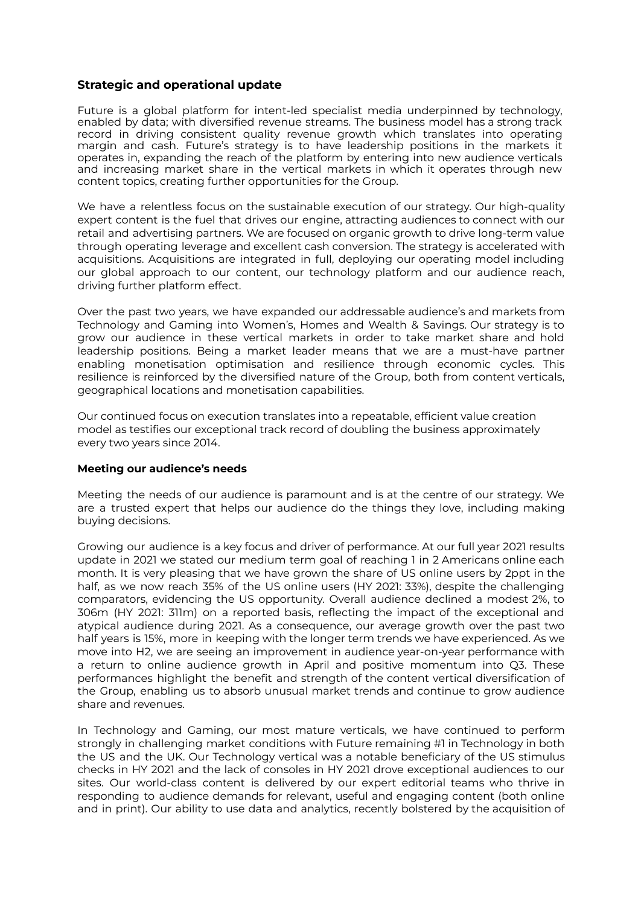#### **Strategic and operational update**

Future is a global platform for intent-led specialist media underpinned by technology, enabled by data; with diversified revenue streams. The business model has a strong track record in driving consistent quality revenue growth which translates into operating margin and cash. Future's strategy is to have leadership positions in the markets it operates in, expanding the reach of the platform by entering into new audience verticals and increasing market share in the vertical markets in which it operates through new content topics, creating further opportunities for the Group.

We have a relentless focus on the sustainable execution of our strategy. Our high-quality expert content is the fuel that drives our engine, attracting audiences to connect with our retail and advertising partners. We are focused on organic growth to drive long-term value through operating leverage and excellent cash conversion. The strategy is accelerated with acquisitions. Acquisitions are integrated in full, deploying our operating model including our global approach to our content, our technology platform and our audience reach, driving further platform effect.

Over the past two years, we have expanded our addressable audience's and markets from Technology and Gaming into Women's, Homes and Wealth & Savings. Our strategy is to grow our audience in these vertical markets in order to take market share and hold leadership positions. Being a market leader means that we are a must-have partner enabling monetisation optimisation and resilience through economic cycles. This resilience is reinforced by the diversified nature of the Group, both from content verticals, geographical locations and monetisation capabilities.

Our continued focus on execution translates into a repeatable, efficient value creation model as testifies our exceptional track record of doubling the business approximately every two years since 2014.

#### **Meeting our audience's needs**

Meeting the needs of our audience is paramount and is at the centre of our strategy. We are a trusted expert that helps our audience do the things they love, including making buying decisions.

Growing our audience is a key focus and driver of performance. At our full year 2021 results update in 2021 we stated our medium term goal of reaching 1 in 2 Americans online each month. It is very pleasing that we have grown the share of US online users by 2ppt in the half, as we now reach 35% of the US online users (HY 2021: 33%), despite the challenging comparators, evidencing the US opportunity. Overall audience declined a modest 2%, to 306m (HY 2021: 311m) on a reported basis, reflecting the impact of the exceptional and atypical audience during 2021. As a consequence, our average growth over the past two half years is 15%, more in keeping with the longer term trends we have experienced. As we move into H2, we are seeing an improvement in audience year-on-year performance with a return to online audience growth in April and positive momentum into Q3. These performances highlight the benefit and strength of the content vertical diversification of the Group, enabling us to absorb unusual market trends and continue to grow audience share and revenues.

In Technology and Gaming, our most mature verticals, we have continued to perform strongly in challenging market conditions with Future remaining #1 in Technology in both the US and the UK. Our Technology vertical was a notable beneficiary of the US stimulus checks in HY 2021 and the lack of consoles in HY 2021 drove exceptional audiences to our sites. Our world-class content is delivered by our expert editorial teams who thrive in responding to audience demands for relevant, useful and engaging content (both online and in print). Our ability to use data and analytics, recently bolstered by the acquisition of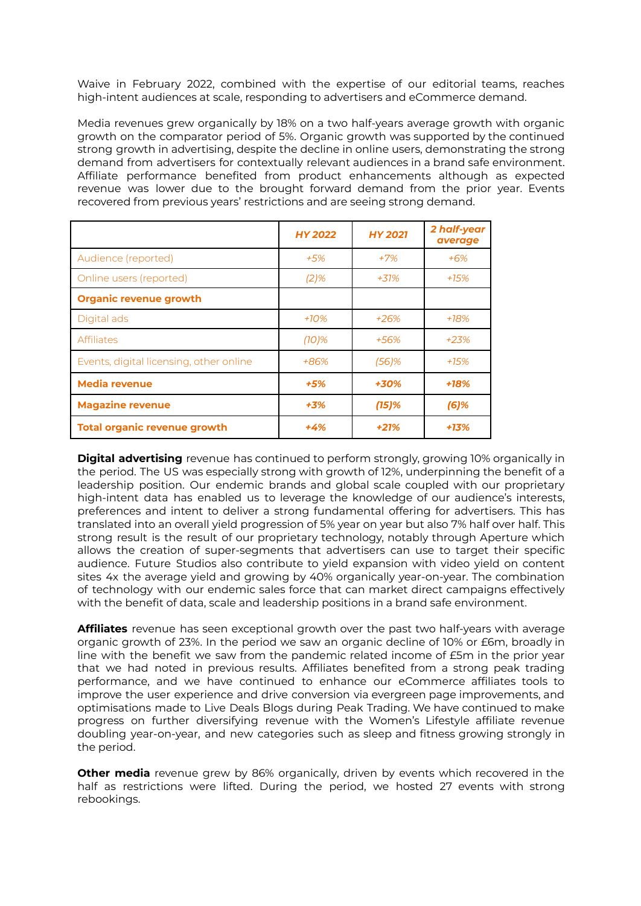Waive in February 2022, combined with the expertise of our editorial teams, reaches high-intent audiences at scale, responding to advertisers and eCommerce demand.

Media revenues grew organically by 18% on a two half-years average growth with organic growth on the comparator period of 5%. Organic growth was supported by the continued strong growth in advertising, despite the decline in online users, demonstrating the strong demand from advertisers for contextually relevant audiences in a brand safe environment. Affiliate performance benefited from product enhancements although as expected revenue was lower due to the brought forward demand from the prior year. Events recovered from previous years' restrictions and are seeing strong demand.

|                                         | <b>HY 2022</b> | <b>HY 2021</b> | 2 half-year<br>average |
|-----------------------------------------|----------------|----------------|------------------------|
| Audience (reported)                     | +5%            | $+7%$          | $+6%$                  |
| Online users (reported)                 | $(2)$ %        | $+31%$         | +15%                   |
| <b>Organic revenue growth</b>           |                |                |                        |
| Digital ads                             | $+10%$         | $+26%$         | $+18%$                 |
| <b>Affiliates</b>                       | $(10)\%$       | +56%           | $+23%$                 |
| Events, digital licensing, other online | +86%           | $(56)$ %       | $+15%$                 |
| <b>Media revenue</b>                    | $+5%$          | +30%           | $+18%$                 |
| <b>Magazine revenue</b>                 | $+3%$          | $(15)\%$       | $(6)$ %                |
| <b>Total organic revenue growth</b>     | $+4%$          | $+21%$         | +13%                   |

**Digital advertising** revenue has continued to perform strongly, growing 10% organically in the period. The US was especially strong with growth of 12%, underpinning the benefit of a leadership position. Our endemic brands and global scale coupled with our proprietary high-intent data has enabled us to leverage the knowledge of our audience's interests, preferences and intent to deliver a strong fundamental offering for advertisers. This has translated into an overall yield progression of 5% year on year but also 7% half over half. This strong result is the result of our proprietary technology, notably through Aperture which allows the creation of super-segments that advertisers can use to target their specific audience. Future Studios also contribute to yield expansion with video yield on content sites 4x the average yield and growing by 40% organically year-on-year. The combination of technology with our endemic sales force that can market direct campaigns effectively with the benefit of data, scale and leadership positions in a brand safe environment.

**Affiliates** revenue has seen exceptional growth over the past two half-years with average organic growth of 23%. In the period we saw an organic decline of 10% or £6m, broadly in line with the benefit we saw from the pandemic related income of £5m in the prior year that we had noted in previous results. Affiliates benefited from a strong peak trading performance, and we have continued to enhance our eCommerce affiliates tools to improve the user experience and drive conversion via evergreen page improvements, and optimisations made to Live Deals Blogs during Peak Trading. We have continued to make progress on further diversifying revenue with the Women's Lifestyle affiliate revenue doubling year-on-year, and new categories such as sleep and fitness growing strongly in the period.

**Other media** revenue grew by 86% organically, driven by events which recovered in the half as restrictions were lifted. During the period, we hosted 27 events with strong rebookings.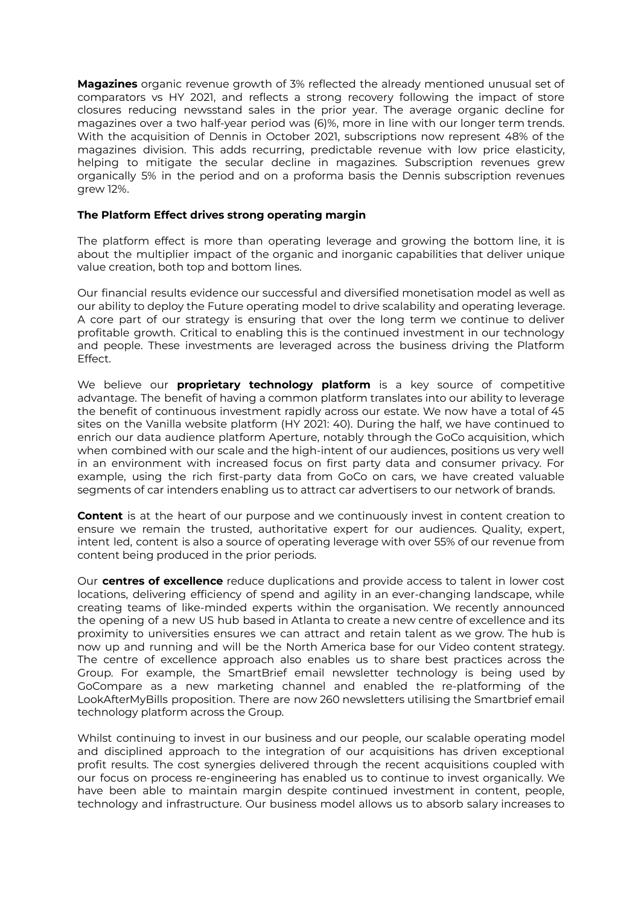**Magazines** organic revenue growth of 3% reflected the already mentioned unusual set of comparators vs HY 2021, and reflects a strong recovery following the impact of store closures reducing newsstand sales in the prior year. The average organic decline for magazines over a two half-year period was (6)%, more in line with our longer term trends. With the acquisition of Dennis in October 2021, subscriptions now represent 48% of the magazines division. This adds recurring, predictable revenue with low price elasticity, helping to mitigate the secular decline in magazines. Subscription revenues grew organically 5% in the period and on a proforma basis the Dennis subscription revenues grew 12%.

#### **The Platform Effect drives strong operating margin**

The platform effect is more than operating leverage and growing the bottom line, it is about the multiplier impact of the organic and inorganic capabilities that deliver unique value creation, both top and bottom lines.

Our financial results evidence our successful and diversified monetisation model as well as our ability to deploy the Future operating model to drive scalability and operating leverage. A core part of our strategy is ensuring that over the long term we continue to deliver profitable growth. Critical to enabling this is the continued investment in our technology and people. These investments are leveraged across the business driving the Platform Effect.

We believe our **proprietary technology platform** is a key source of competitive advantage. The benefit of having a common platform translates into our ability to leverage the benefit of continuous investment rapidly across our estate. We now have a total of 45 sites on the Vanilla website platform (HY 2021: 40). During the half, we have continued to enrich our data audience platform Aperture, notably through the GoCo acquisition, which when combined with our scale and the high-intent of our audiences, positions us very well in an environment with increased focus on first party data and consumer privacy. For example, using the rich first-party data from GoCo on cars, we have created valuable segments of car intenders enabling us to attract car advertisers to our network of brands.

**Content** is at the heart of our purpose and we continuously invest in content creation to ensure we remain the trusted, authoritative expert for our audiences. Quality, expert, intent led, content is also a source of operating leverage with over 55% of our revenue from content being produced in the prior periods.

Our **centres of excellence** reduce duplications and provide access to talent in lower cost locations, delivering efficiency of spend and agility in an ever-changing landscape, while creating teams of like-minded experts within the organisation. We recently announced the opening of a new US hub based in Atlanta to create a new centre of excellence and its proximity to universities ensures we can attract and retain talent as we grow. The hub is now up and running and will be the North America base for our Video content strategy. The centre of excellence approach also enables us to share best practices across the Group. For example, the SmartBrief email newsletter technology is being used by GoCompare as a new marketing channel and enabled the re-platforming of the LookAfterMyBills proposition. There are now 260 newsletters utilising the Smartbrief email technology platform across the Group.

Whilst continuing to invest in our business and our people, our scalable operating model and disciplined approach to the integration of our acquisitions has driven exceptional profit results. The cost synergies delivered through the recent acquisitions coupled with our focus on process re-engineering has enabled us to continue to invest organically. We have been able to maintain margin despite continued investment in content, people, technology and infrastructure. Our business model allows us to absorb salary increases to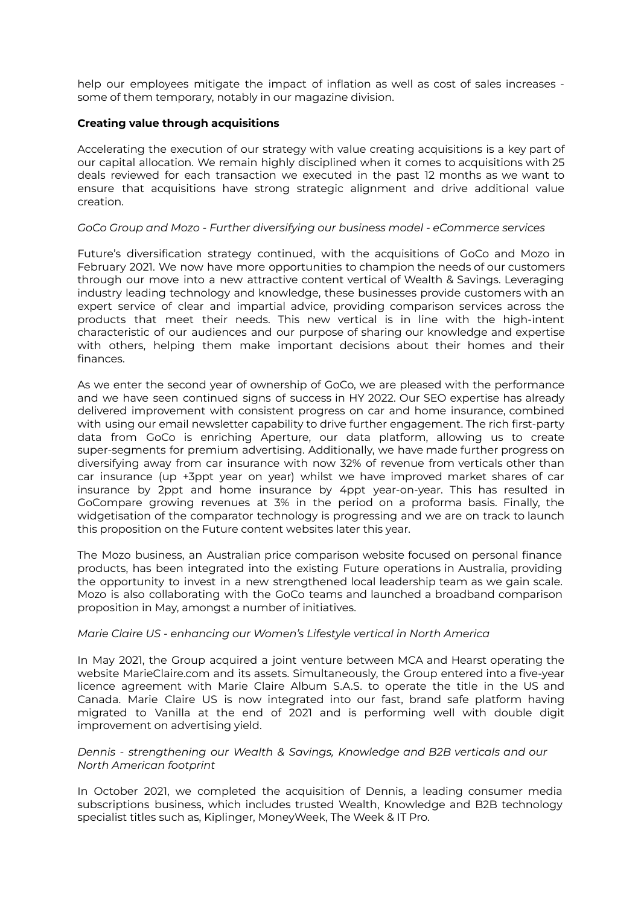help our employees mitigate the impact of inflation as well as cost of sales increases some of them temporary, notably in our magazine division.

#### **Creating value through acquisitions**

Accelerating the execution of our strategy with value creating acquisitions is a key part of our capital allocation. We remain highly disciplined when it comes to acquisitions with 25 deals reviewed for each transaction we executed in the past 12 months as we want to ensure that acquisitions have strong strategic alignment and drive additional value creation.

#### *GoCo Group and Mozo - Further diversifying our business model - eCommerce services*

Future's diversification strategy continued, with the acquisitions of GoCo and Mozo in February 2021. We now have more opportunities to champion the needs of our customers through our move into a new attractive content vertical of Wealth & Savings. Leveraging industry leading technology and knowledge, these businesses provide customers with an expert service of clear and impartial advice, providing comparison services across the products that meet their needs. This new vertical is in line with the high-intent characteristic of our audiences and our purpose of sharing our knowledge and expertise with others, helping them make important decisions about their homes and their finances.

As we enter the second year of ownership of GoCo, we are pleased with the performance and we have seen continued signs of success in HY 2022. Our SEO expertise has already delivered improvement with consistent progress on car and home insurance, combined with using our email newsletter capability to drive further engagement. The rich first-party data from GoCo is enriching Aperture, our data platform, allowing us to create super-segments for premium advertising. Additionally, we have made further progress on diversifying away from car insurance with now 32% of revenue from verticals other than car insurance (up +3ppt year on year) whilst we have improved market shares of car insurance by 2ppt and home insurance by 4ppt year-on-year. This has resulted in GoCompare growing revenues at 3% in the period on a proforma basis. Finally, the widgetisation of the comparator technology is progressing and we are on track to launch this proposition on the Future content websites later this year.

The Mozo business, an Australian price comparison website focused on personal finance products, has been integrated into the existing Future operations in Australia, providing the opportunity to invest in a new strengthened local leadership team as we gain scale. Mozo is also collaborating with the GoCo teams and launched a broadband comparison proposition in May, amongst a number of initiatives.

#### *Marie Claire US - enhancing our Women's Lifestyle vertical in North America*

In May 2021, the Group acquired a joint venture between MCA and Hearst operating the website MarieClaire.com and its assets. Simultaneously, the Group entered into a five-year licence agreement with Marie Claire Album S.A.S. to operate the title in the US and Canada. Marie Claire US is now integrated into our fast, brand safe platform having migrated to Vanilla at the end of 2021 and is performing well with double digit improvement on advertising yield.

#### *Dennis - strengthening our Wealth & Savings, Knowledge and B2B verticals and our North American footprint*

In October 2021, we completed the acquisition of Dennis, a leading consumer media subscriptions business, which includes trusted Wealth, Knowledge and B2B technology specialist titles such as, Kiplinger, MoneyWeek, The Week & IT Pro.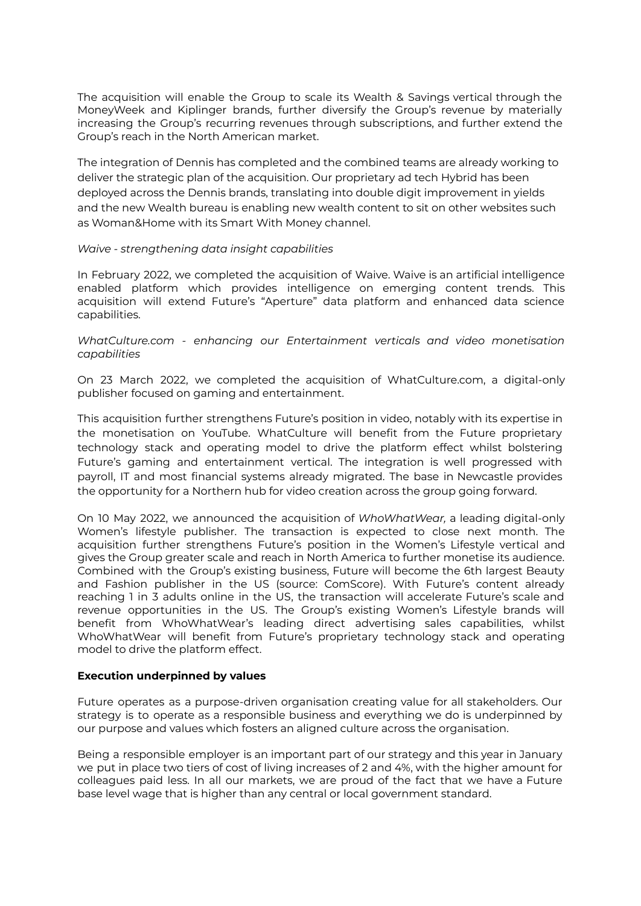The acquisition will enable the Group to scale its Wealth & Savings vertical through the MoneyWeek and Kiplinger brands, further diversify the Group's revenue by materially increasing the Group's recurring revenues through subscriptions, and further extend the Group's reach in the North American market.

The integration of Dennis has completed and the combined teams are already working to deliver the strategic plan of the acquisition. Our proprietary ad tech Hybrid has been deployed across the Dennis brands, translating into double digit improvement in yields and the new Wealth bureau is enabling new wealth content to sit on other websites such as Woman&Home with its Smart With Money channel.

#### *Waive - strengthening data insight capabilities*

In February 2022, we completed the acquisition of Waive. Waive is an artificial intelligence enabled platform which provides intelligence on emerging content trends. This acquisition will extend Future's "Aperture" data platform and enhanced data science capabilities.

*WhatCulture.com - enhancing our Entertainment verticals and video monetisation capabilities*

On 23 March 2022, we completed the acquisition of WhatCulture.com, a digital-only publisher focused on gaming and entertainment.

This acquisition further strengthens Future's position in video, notably with its expertise in the monetisation on YouTube. WhatCulture will benefit from the Future proprietary technology stack and operating model to drive the platform effect whilst bolstering Future's gaming and entertainment vertical. The integration is well progressed with payroll, IT and most financial systems already migrated. The base in Newcastle provides the opportunity for a Northern hub for video creation across the group going forward.

On 10 May 2022, we announced the acquisition of *WhoWhatWear,* a leading digital-only Women's lifestyle publisher. The transaction is expected to close next month. The acquisition further strengthens Future's position in the Women's Lifestyle vertical and gives the Group greater scale and reach in North America to further monetise its audience. Combined with the Group's existing business, Future will become the 6th largest Beauty and Fashion publisher in the US (source: ComScore). With Future's content already reaching 1 in 3 adults online in the US, the transaction will accelerate Future's scale and revenue opportunities in the US. The Group's existing Women's Lifestyle brands will benefit from WhoWhatWear's leading direct advertising sales capabilities, whilst WhoWhatWear will benefit from Future's proprietary technology stack and operating model to drive the platform effect.

#### **Execution underpinned by values**

Future operates as a purpose-driven organisation creating value for all stakeholders. Our strategy is to operate as a responsible business and everything we do is underpinned by our purpose and values which fosters an aligned culture across the organisation.

Being a responsible employer is an important part of our strategy and this year in January we put in place two tiers of cost of living increases of 2 and 4%, with the higher amount for colleagues paid less. In all our markets, we are proud of the fact that we have a Future base level wage that is higher than any central or local government standard.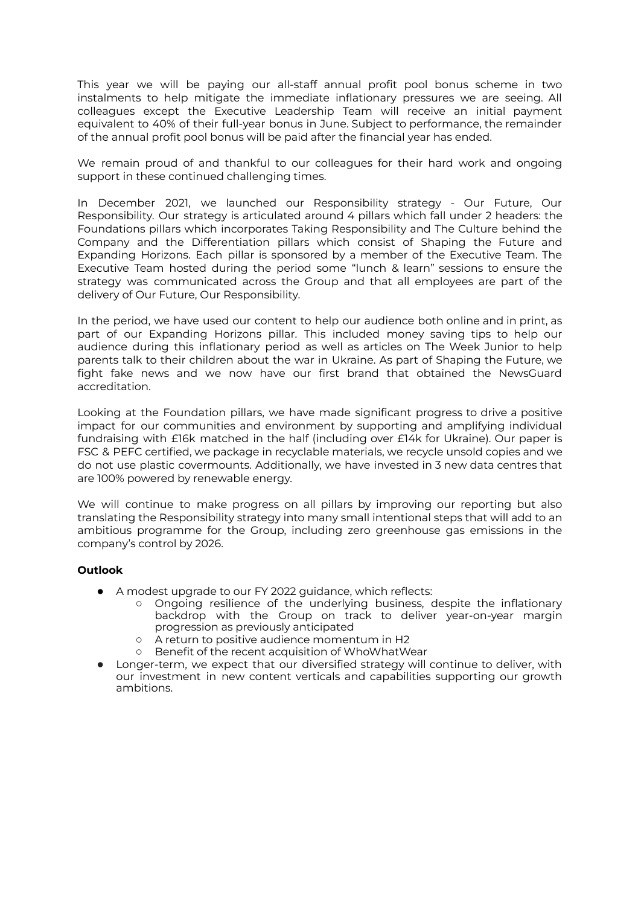This year we will be paying our all-staff annual profit pool bonus scheme in two instalments to help mitigate the immediate inflationary pressures we are seeing. All colleagues except the Executive Leadership Team will receive an initial payment equivalent to 40% of their full-year bonus in June. Subject to performance, the remainder of the annual profit pool bonus will be paid after the financial year has ended.

We remain proud of and thankful to our colleagues for their hard work and ongoing support in these continued challenging times.

In December 2021, we launched our Responsibility strategy - Our Future, Our Responsibility. Our strategy is articulated around 4 pillars which fall under 2 headers: the Foundations pillars which incorporates Taking Responsibility and The Culture behind the Company and the Differentiation pillars which consist of Shaping the Future and Expanding Horizons. Each pillar is sponsored by a member of the Executive Team. The Executive Team hosted during the period some "lunch & learn" sessions to ensure the strategy was communicated across the Group and that all employees are part of the delivery of Our Future, Our Responsibility.

In the period, we have used our content to help our audience both online and in print, as part of our Expanding Horizons pillar. This included money saving tips to help our audience during this inflationary period as well as articles on The Week Junior to help parents talk to their children about the war in Ukraine. As part of Shaping the Future, we fight fake news and we now have our first brand that obtained the NewsGuard accreditation.

Looking at the Foundation pillars, we have made significant progress to drive a positive impact for our communities and environment by supporting and amplifying individual fundraising with £16k matched in the half (including over £14k for Ukraine). Our paper is FSC & PEFC certified, we package in recyclable materials, we recycle unsold copies and we do not use plastic covermounts. Additionally, we have invested in 3 new data centres that are 100% powered by renewable energy.

We will continue to make progress on all pillars by improving our reporting but also translating the Responsibility strategy into many small intentional steps that will add to an ambitious programme for the Group, including zero greenhouse gas emissions in the company's control by 2026.

#### **Outlook**

- A modest upgrade to our FY 2022 guidance, which reflects:
	- Ongoing resilience of the underlying business, despite the inflationary backdrop with the Group on track to deliver year-on-year margin progression as previously anticipated
	- A return to positive audience momentum in H2
	- Benefit of the recent acquisition of WhoWhatWear
- Longer-term, we expect that our diversified strategy will continue to deliver, with our investment in new content verticals and capabilities supporting our growth ambitions.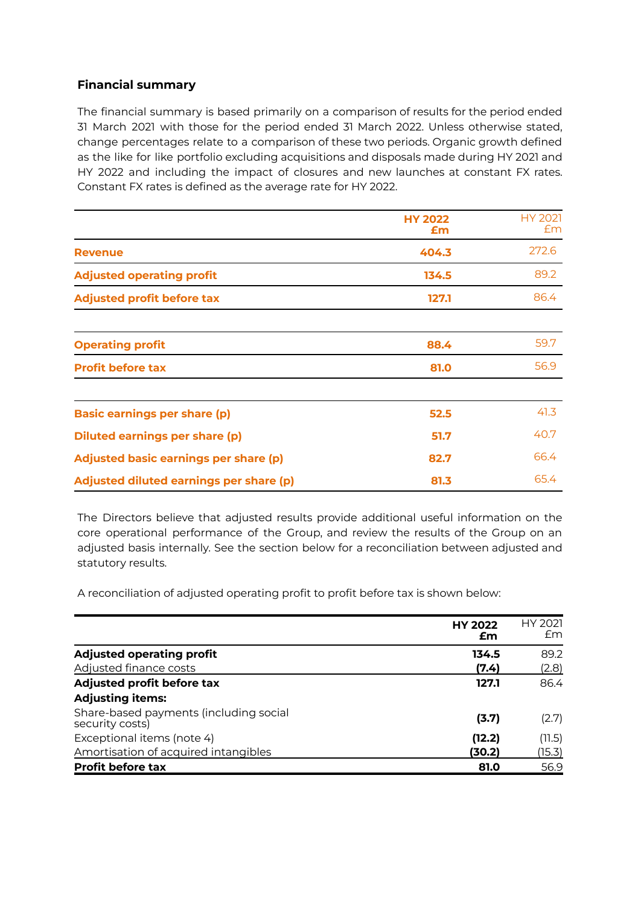#### **Financial summary**

The financial summary is based primarily on a comparison of results for the period ended 31 March 2021 with those for the period ended 31 March 2022. Unless otherwise stated, change percentages relate to a comparison of these two periods. Organic growth defined as the like for like portfolio excluding acquisitions and disposals made during HY 2021 and HY 2022 and including the impact of closures and new launches at constant FX rates. Constant FX rates is defined as the average rate for HY 2022.

|                                              | <b>HY 2022</b><br>Em | <b>HY 2021</b><br>Em |
|----------------------------------------------|----------------------|----------------------|
| <b>Revenue</b>                               | 404.3                | 272.6                |
| <b>Adjusted operating profit</b>             | 134.5                | 89.2                 |
| <b>Adjusted profit before tax</b>            | 127.1                | 86.4                 |
| <b>Operating profit</b>                      | 88.4                 | 59.7                 |
| <b>Profit before tax</b>                     | 81.0                 | 56.9                 |
| <b>Basic earnings per share (p)</b>          | 52.5                 | 41.3                 |
| <b>Diluted earnings per share (p)</b>        | 51.7                 | 40.7                 |
| <b>Adjusted basic earnings per share (p)</b> | 82.7                 | 66.4                 |
| Adjusted diluted earnings per share (p)      | 81.3                 | 65.4                 |

The Directors believe that adjusted results provide additional useful information on the core operational performance of the Group, and review the results of the Group on an adjusted basis internally. See the section below for a reconciliation between adjusted and statutory results.

A reconciliation of adjusted operating profit to profit before tax is shown below:

|                                                           | <b>HY 2022</b><br>£m | HY 2021<br>£m |
|-----------------------------------------------------------|----------------------|---------------|
| <b>Adjusted operating profit</b>                          | 134.5                | 89.2          |
| Adjusted finance costs                                    | (7.4)                | (2.8)         |
| Adjusted profit before tax                                | 127.1                | 86.4          |
| <b>Adjusting items:</b>                                   |                      |               |
| Share-based payments (including social<br>security costs) | (3.7)                | (2.7)         |
| Exceptional items (note 4)                                | (12.2)               | (11.5)        |
| Amortisation of acquired intangibles                      | (30.2)               | (15.3)        |
| <b>Profit before tax</b>                                  | 81.0                 | 56.9          |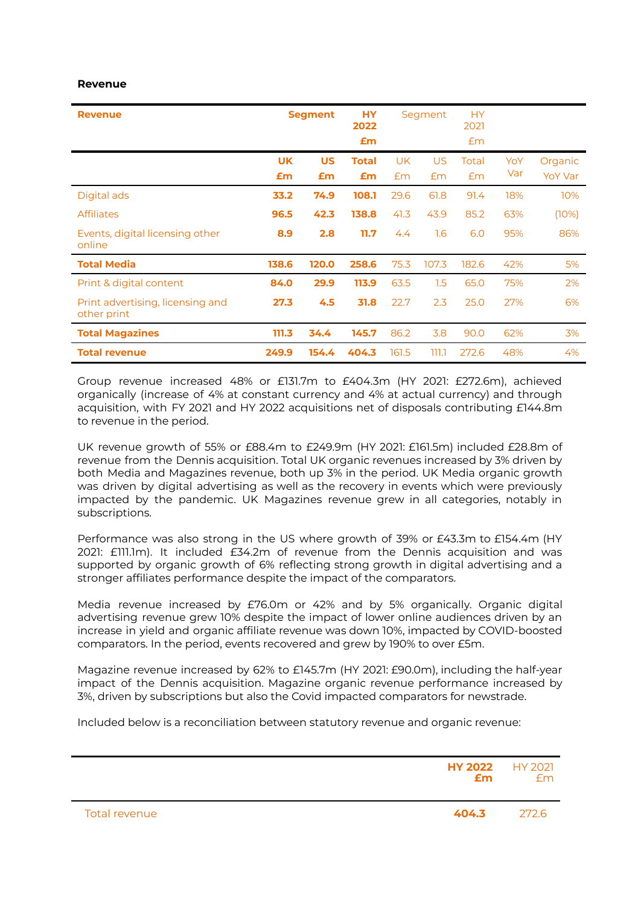#### **Revenue**

| <b>Revenue</b>                                  |           | <b>Segment</b> | <b>HY</b><br>2022<br>£m |       | Segment   | <b>HY</b><br>2021<br>Em |     |                |
|-------------------------------------------------|-----------|----------------|-------------------------|-------|-----------|-------------------------|-----|----------------|
|                                                 | <b>UK</b> | <b>US</b>      | <b>Total</b>            | UK    | <b>US</b> | Total                   | YoY | Organic        |
|                                                 | £m        | £m             | £m                      | Em    | Em        | Em                      | Var | <b>YoY Var</b> |
| Digital ads                                     | 33.2      | 74.9           | 108.1                   | 29.6  | 61.8      | 91.4                    | 18% | 10%            |
| <b>Affiliates</b>                               | 96.5      | 42.3           | 138.8                   | 41.3  | 43.9      | 85.2                    | 63% | (10%)          |
| Events, digital licensing other<br>online       | 8.9       | 2.8            | 11.7                    | 4.4   | 1.6       | 6.0                     | 95% | 86%            |
| <b>Total Media</b>                              | 138.6     | 120.0          | 258.6                   | 75.3  | 107.3     | 182.6                   | 42% | 5%             |
| Print & digital content                         | 84.0      | 29.9           | 113.9                   | 63.5  | 1.5       | 65.0                    | 75% | 2%             |
| Print advertising, licensing and<br>other print | 27.3      | 4.5            | 31.8                    | 22.7  | 2.3       | 25.0                    | 27% | 6%             |
| <b>Total Magazines</b>                          | 111.3     | 34.4           | 145.7                   | 86.2  | 3.8       | 90.0                    | 62% | 3%             |
| <b>Total revenue</b>                            | 249.9     | 154.4          | 404.3                   | 161.5 | ד.ררר     | 272.6                   | 48% | 4%             |

Group revenue increased 48% or £131.7m to £404.3m (HY 2021: £272.6m), achieved organically (increase of 4% at constant currency and 4% at actual currency) and through acquisition, with FY 2021 and HY 2022 acquisitions net of disposals contributing £144.8m to revenue in the period.

UK revenue growth of 55% or £88.4m to £249.9m (HY 2021: £161.5m) included £28.8m of revenue from the Dennis acquisition. Total UK organic revenues increased by 3% driven by both Media and Magazines revenue, both up 3% in the period. UK Media organic growth was driven by digital advertising as well as the recovery in events which were previously impacted by the pandemic. UK Magazines revenue grew in all categories, notably in subscriptions.

Performance was also strong in the US where growth of 39% or £43.3m to £154.4m (HY 2021: £111.1m). It included £34.2m of revenue from the Dennis acquisition and was supported by organic growth of 6% reflecting strong growth in digital advertising and a stronger affiliates performance despite the impact of the comparators.

Media revenue increased by £76.0m or 42% and by 5% organically. Organic digital advertising revenue grew 10% despite the impact of lower online audiences driven by an increase in yield and organic affiliate revenue was down 10%, impacted by COVID-boosted comparators. In the period, events recovered and grew by 190% to over £5m.

Magazine revenue increased by 62% to £145.7m (HY 2021: £90.0m), including the half-year impact of the Dennis acquisition. Magazine organic revenue performance increased by 3%, driven by subscriptions but also the Covid impacted comparators for newstrade.

Included below is a reconciliation between statutory revenue and organic revenue:

|               | <b>HY 2022</b> HY 2021<br>£m | fm    |
|---------------|------------------------------|-------|
| Total revenue | 404.3                        | 272.6 |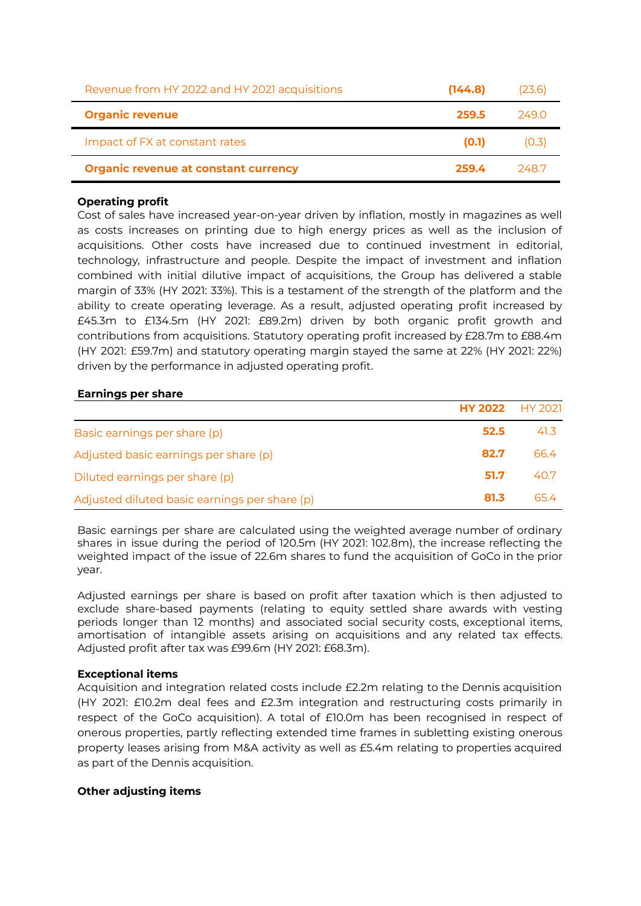| Revenue from HY 2022 and HY 2021 acquisitions | (144.8) | (23.6) |
|-----------------------------------------------|---------|--------|
| <b>Organic revenue</b>                        | 259.5   | 249 O  |
| Impact of FX at constant rates                | (0.1)   | (0.3)  |
| <b>Organic revenue at constant currency</b>   | 259.4   | -248.7 |

#### **Operating profit**

Cost of sales have increased year-on-year driven by inflation, mostly in magazines as well as costs increases on printing due to high energy prices as well as the inclusion of acquisitions. Other costs have increased due to continued investment in editorial, technology, infrastructure and people. Despite the impact of investment and inflation combined with initial dilutive impact of acquisitions, the Group has delivered a stable margin of 33% (HY 2021: 33%). This is a testament of the strength of the platform and the ability to create operating leverage. As a result, adjusted operating profit increased by £45.3m to £134.5m (HY 2021: £89.2m) driven by both organic profit growth and contributions from acquisitions. Statutory operating profit increased by £28.7m to £88.4m (HY 2021: £59.7m) and statutory operating margin stayed the same at 22% (HY 2021: 22%) driven by the performance in adjusted operating profit.

#### **Earnings per share**

|                                               | <b>HY 2022</b> HY 2021 |      |
|-----------------------------------------------|------------------------|------|
| Basic earnings per share (p)                  | 52.5                   | 41.3 |
| Adjusted basic earnings per share (p)         | 82.7                   | 66.4 |
| Diluted earnings per share (p)                | 51.7                   | 40.7 |
| Adjusted diluted basic earnings per share (p) | 81.3                   | 65.4 |

Basic earnings per share are calculated using the weighted average number of ordinary shares in issue during the period of 120.5m (HY 2021: 102.8m), the increase reflecting the weighted impact of the issue of 22.6m shares to fund the acquisition of GoCo in the prior year.

Adjusted earnings per share is based on profit after taxation which is then adjusted to exclude share-based payments (relating to equity settled share awards with vesting periods longer than 12 months) and associated social security costs, exceptional items, amortisation of intangible assets arising on acquisitions and any related tax effects. Adjusted profit after tax was £99.6m (HY 2021: £68.3m).

#### **Exceptional items**

Acquisition and integration related costs include £2.2m relating to the Dennis acquisition (HY 2021: £10.2m deal fees and £2.3m integration and restructuring costs primarily in respect of the GoCo acquisition). A total of £10.0m has been recognised in respect of onerous properties, partly reflecting extended time frames in subletting existing onerous property leases arising from M&A activity as well as £5.4m relating to properties acquired as part of the Dennis acquisition.

#### **Other adjusting items**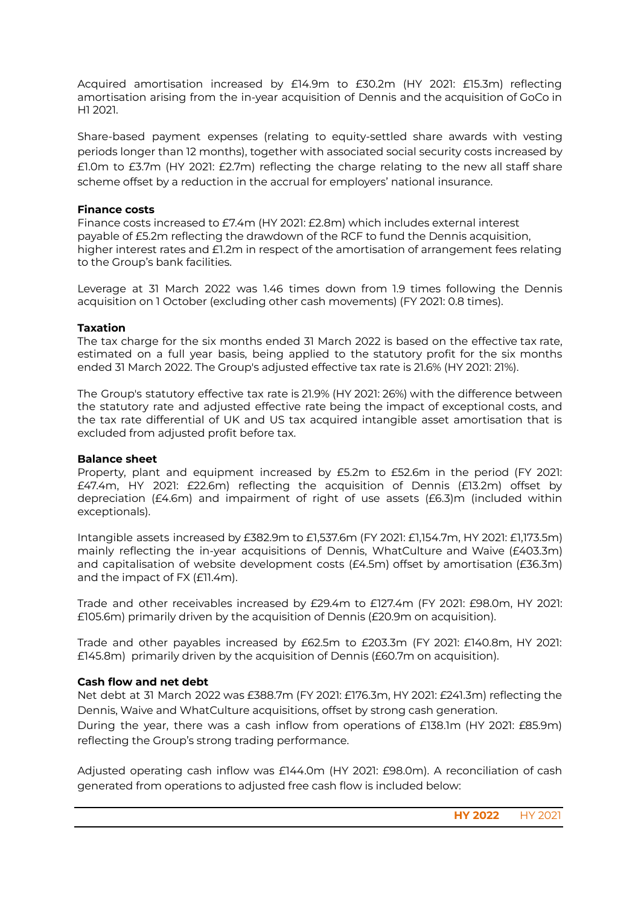Acquired amortisation increased by £14.9m to £30.2m (HY 2021: £15.3m) reflecting amortisation arising from the in-year acquisition of Dennis and the acquisition of GoCo in H1 2021.

Share-based payment expenses (relating to equity-settled share awards with vesting periods longer than 12 months), together with associated social security costs increased by £1.0m to £3.7m (HY 2021: £2.7m) reflecting the charge relating to the new all staff share scheme offset by a reduction in the accrual for employers' national insurance.

#### **Finance costs**

Finance costs increased to £7.4m (HY 2021: £2.8m) which includes external interest payable of £5.2m reflecting the drawdown of the RCF to fund the Dennis acquisition, higher interest rates and £1.2m in respect of the amortisation of arrangement fees relating to the Group's bank facilities.

Leverage at 31 March 2022 was 1.46 times down from 1.9 times following the Dennis acquisition on 1 October (excluding other cash movements) (FY 2021: 0.8 times).

#### **Taxation**

The tax charge for the six months ended 31 March 2022 is based on the effective tax rate, estimated on a full year basis, being applied to the statutory profit for the six months ended 31 March 2022. The Group's adjusted effective tax rate is 21.6% (HY 2021: 21%).

The Group's statutory effective tax rate is 21.9% (HY 2021: 26%) with the difference between the statutory rate and adjusted effective rate being the impact of exceptional costs, and the tax rate differential of UK and US tax acquired intangible asset amortisation that is excluded from adjusted profit before tax.

#### **Balance sheet**

Property, plant and equipment increased by £5.2m to £52.6m in the period (FY 2021: £47.4m, HY 2021: £22.6m) reflecting the acquisition of Dennis (£13.2m) offset by depreciation (£4.6m) and impairment of right of use assets (£6.3)m (included within exceptionals).

Intangible assets increased by £382.9m to £1,537.6m (FY 2021: £1,154.7m, HY 2021: £1,173.5m) mainly reflecting the in-year acquisitions of Dennis, WhatCulture and Waive (£403.3m) and capitalisation of website development costs (£4.5m) offset by amortisation (£36.3m) and the impact of FX (£11.4m).

Trade and other receivables increased by £29.4m to £127.4m (FY 2021: £98.0m, HY 2021: £105.6m) primarily driven by the acquisition of Dennis (£20.9m on acquisition).

Trade and other payables increased by £62.5m to £203.3m (FY 2021: £140.8m, HY 2021: £145.8m) primarily driven by the acquisition of Dennis (£60.7m on acquisition).

#### **Cash flow and net debt**

Net debt at 31 March 2022 was £388.7m (FY 2021: £176.3m, HY 2021: £241.3m) reflecting the Dennis, Waive and WhatCulture acquisitions, offset by strong cash generation.

During the year, there was a cash inflow from operations of £138.1m (HY 2021: £85.9m) reflecting the Group's strong trading performance.

Adjusted operating cash inflow was £144.0m (HY 2021: £98.0m). A reconciliation of cash generated from operations to adjusted free cash flow is included below: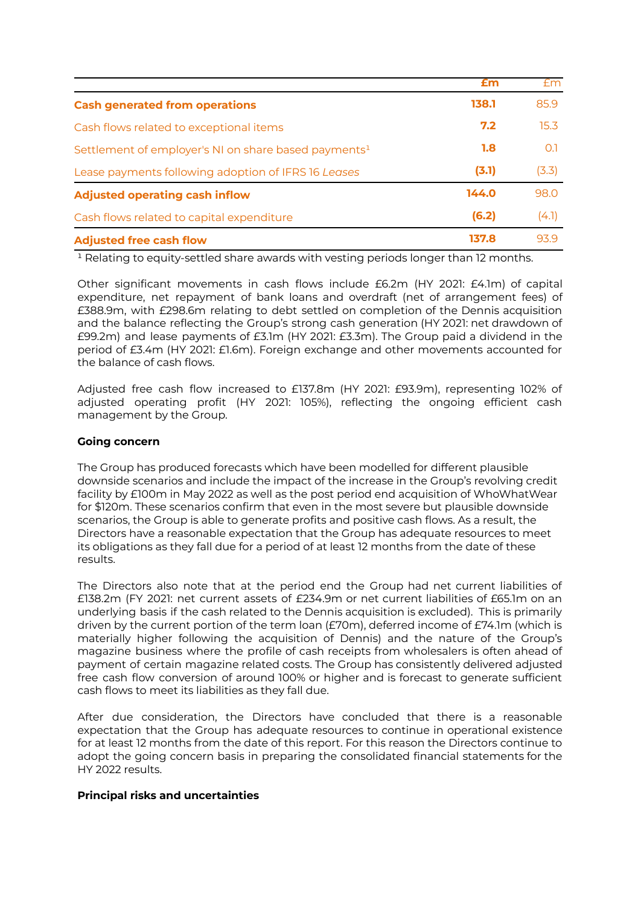|                                                                  | £m    | Em    |
|------------------------------------------------------------------|-------|-------|
| <b>Cash generated from operations</b>                            | 138.1 | 85.9  |
| Cash flows related to exceptional items                          | 7.2   | 15.3  |
| Settlement of employer's NI on share based payments <sup>1</sup> | 1.8   | 0.1   |
| Lease payments following adoption of IFRS 16 Leases              | (3.1) | (3.3) |
| <b>Adjusted operating cash inflow</b>                            | 144.0 | 98.0  |
| Cash flows related to capital expenditure                        | (6.2) | (4.1) |
| <b>Adjusted free cash flow</b>                                   | 137.8 | 93.9  |

 $1$  Relating to equity-settled share awards with vesting periods longer than 12 months.

Other significant movements in cash flows include £6.2m (HY 2021: £4.1m) of capital expenditure, net repayment of bank loans and overdraft (net of arrangement fees) of £388.9m, with £298.6m relating to debt settled on completion of the Dennis acquisition and the balance reflecting the Group's strong cash generation (HY 2021: net drawdown of £99.2m) and lease payments of £3.1m (HY 2021: £3.3m). The Group paid a dividend in the period of £3.4m (HY 2021: £1.6m). Foreign exchange and other movements accounted for the balance of cash flows.

Adjusted free cash flow increased to £137.8m (HY 2021: £93.9m), representing 102% of adjusted operating profit (HY 2021: 105%), reflecting the ongoing efficient cash management by the Group.

#### **Going concern**

The Group has produced forecasts which have been modelled for different plausible downside scenarios and include the impact of the increase in the Group's revolving credit facility by £100m in May 2022 as well as the post period end acquisition of WhoWhatWear for \$120m. These scenarios confirm that even in the most severe but plausible downside scenarios, the Group is able to generate profits and positive cash flows. As a result, the Directors have a reasonable expectation that the Group has adequate resources to meet its obligations as they fall due for a period of at least 12 months from the date of these results.

The Directors also note that at the period end the Group had net current liabilities of £138.2m (FY 2021: net current assets of £234.9m or net current liabilities of £65.1m on an underlying basis if the cash related to the Dennis acquisition is excluded). This is primarily driven by the current portion of the term loan (£70m), deferred income of £74.1m (which is materially higher following the acquisition of Dennis) and the nature of the Group's magazine business where the profile of cash receipts from wholesalers is often ahead of payment of certain magazine related costs. The Group has consistently delivered adjusted free cash flow conversion of around 100% or higher and is forecast to generate sufficient cash flows to meet its liabilities as they fall due.

After due consideration, the Directors have concluded that there is a reasonable expectation that the Group has adequate resources to continue in operational existence for at least 12 months from the date of this report. For this reason the Directors continue to adopt the going concern basis in preparing the consolidated financial statements for the HY 2022 results.

#### **Principal risks and uncertainties**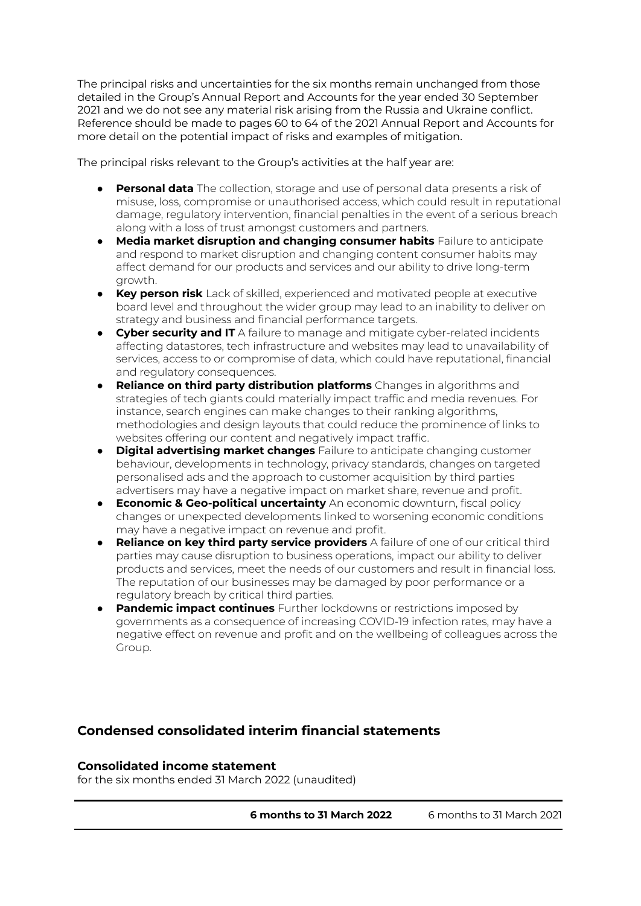The principal risks and uncertainties for the six months remain unchanged from those detailed in the Group's Annual Report and Accounts for the year ended 30 September 2021 and we do not see any material risk arising from the Russia and Ukraine conflict. Reference should be made to pages 60 to 64 of the 2021 Annual Report and Accounts for more detail on the potential impact of risks and examples of mitigation.

The principal risks relevant to the Group's activities at the half year are:

- **Personal data** The collection, storage and use of personal data presents a risk of misuse, loss, compromise or unauthorised access, which could result in reputational damage, regulatory intervention, financial penalties in the event of a serious breach along with a loss of trust amongst customers and partners.
- **Media market disruption and changing consumer habits** Failure to anticipate and respond to market disruption and changing content consumer habits may affect demand for our products and services and our ability to drive long-term growth.
- **Key person risk** Lack of skilled, experienced and motivated people at executive board level and throughout the wider group may lead to an inability to deliver on strategy and business and financial performance targets.
- **Cyber security and IT** A failure to manage and mitigate cyber-related incidents affecting datastores, tech infrastructure and websites may lead to unavailability of services, access to or compromise of data, which could have reputational, financial and regulatory consequences.
- **Reliance on third party distribution platforms** Changes in algorithms and strategies of tech giants could materially impact traffic and media revenues. For instance, search engines can make changes to their ranking algorithms, methodologies and design layouts that could reduce the prominence of links to websites offering our content and negatively impact traffic.
- **Digital advertising market changes** Failure to anticipate changing customer behaviour, developments in technology, privacy standards, changes on targeted personalised ads and the approach to customer acquisition by third parties advertisers may have a negative impact on market share, revenue and profit.
- **Economic & Geo-political uncertainty** An economic downturn, fiscal policy changes or unexpected developments linked to worsening economic conditions may have a negative impact on revenue and profit.
- **Reliance on key third party service providers** A failure of one of our critical third parties may cause disruption to business operations, impact our ability to deliver products and services, meet the needs of our customers and result in financial loss. The reputation of our businesses may be damaged by poor performance or a regulatory breach by critical third parties.
- **Pandemic impact continues** Further lockdowns or restrictions imposed by governments as a consequence of increasing COVID-19 infection rates, may have a negative effect on revenue and profit and on the wellbeing of colleagues across the Group.

## **Condensed consolidated interim financial statements**

#### **Consolidated income statement**

for the six months ended 31 March 2022 (unaudited)

**6 months to 31 March 2022** 6 months to 31 March 2021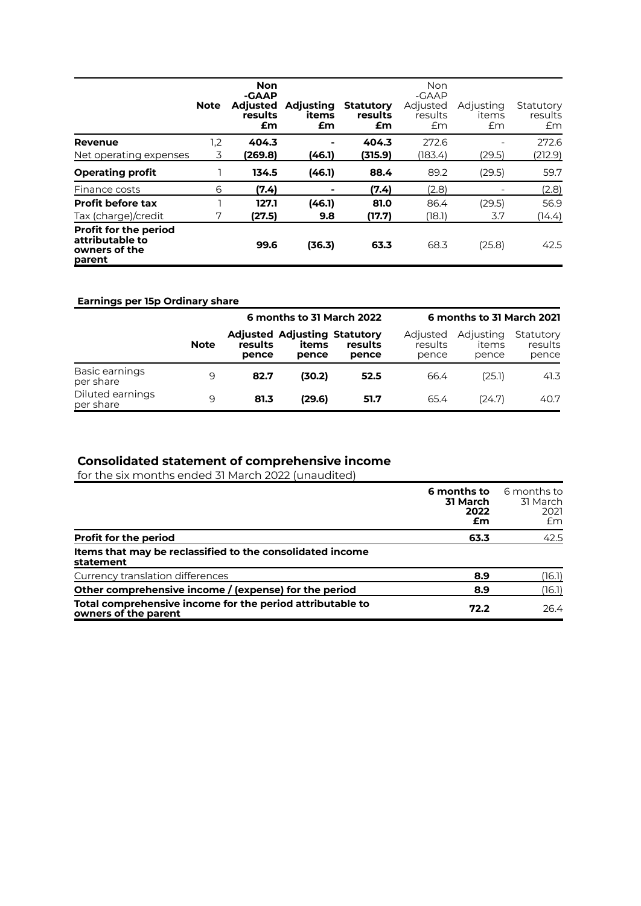|                                                                            | <b>Note</b> | <b>Non</b><br>-GAAP<br><b>Adjusted</b><br>results<br>£m | <b>Adjusting</b><br>items<br>£m | <b>Statutory</b><br>results<br>£m | Non<br>$-GAAP$<br>Adjusted<br>results<br>Em | Adjusting<br>items<br>Em | Statutory<br>results<br>Em |
|----------------------------------------------------------------------------|-------------|---------------------------------------------------------|---------------------------------|-----------------------------------|---------------------------------------------|--------------------------|----------------------------|
| <b>Revenue</b>                                                             | 1,2         | 404.3                                                   |                                 | 404.3                             | 272.6                                       |                          | 272.6                      |
| Net operating expenses                                                     | 3           | (269.8)                                                 | (46.1)                          | (315.9)                           | (183.4)                                     | (29.5)                   | (212.9)                    |
| <b>Operating profit</b>                                                    |             | 134.5                                                   | (46.1)                          | 88.4                              | 89.2                                        | (29.5)                   | 59.7                       |
| Finance costs                                                              | 6           | (7.4)                                                   | ۰                               | (7.4)                             | (2.8)                                       |                          | (2.8)                      |
| <b>Profit before tax</b>                                                   |             | 127.1                                                   | (46.1)                          | 81.0                              | 86.4                                        | (29.5)                   | 56.9                       |
| Tax (charge)/credit                                                        | 7           | (27.5)                                                  | 9.8                             | (17.7)                            | (18.1)                                      | 3.7                      | (14.4)                     |
| <b>Profit for the period</b><br>attributable to<br>owners of the<br>parent |             | 99.6                                                    | (36.3)                          | 63.3                              | 68.3                                        | (25.8)                   | 42.5                       |

### **Earnings per 15p Ordinary share**

|                               |             |                  | 6 months to 31 March 2022                             |                  |                              | 6 months to 31 March 2021   |                               |
|-------------------------------|-------------|------------------|-------------------------------------------------------|------------------|------------------------------|-----------------------------|-------------------------------|
|                               | <b>Note</b> | results<br>pence | <b>Adjusted Adjusting Statutory</b><br>items<br>pence | results<br>pence | Adjusted<br>results<br>pence | Adjusting<br>items<br>pence | Statutory<br>results<br>pence |
| Basic earnings<br>per share   | 9           | 82.7             | (30.2)                                                | 52.5             | 66.4                         | (25.1)                      | 41.3                          |
| Diluted earnings<br>per share | 9           | 81.3             | (29.6)                                                | 51.7             | 65.4                         | (24.7)                      | 40.7                          |

#### **Consolidated statement of comprehensive income**

for the six months ended 31 March 2022 (unaudited)

|                                                                                   | 6 months to<br><b>31 March</b><br>2022<br>£m | 6 months to<br>31 March<br>2021<br>£m |
|-----------------------------------------------------------------------------------|----------------------------------------------|---------------------------------------|
| <b>Profit for the period</b>                                                      | 63.3                                         | 42.5                                  |
| Items that may be reclassified to the consolidated income<br>statement            |                                              |                                       |
| Currency translation differences                                                  | 8.9                                          | (16.1)                                |
| Other comprehensive income / (expense) for the period                             | 8.9                                          | (16.1)                                |
| Total comprehensive income for the period attributable to<br>owners of the parent | 72.2                                         | 26.4                                  |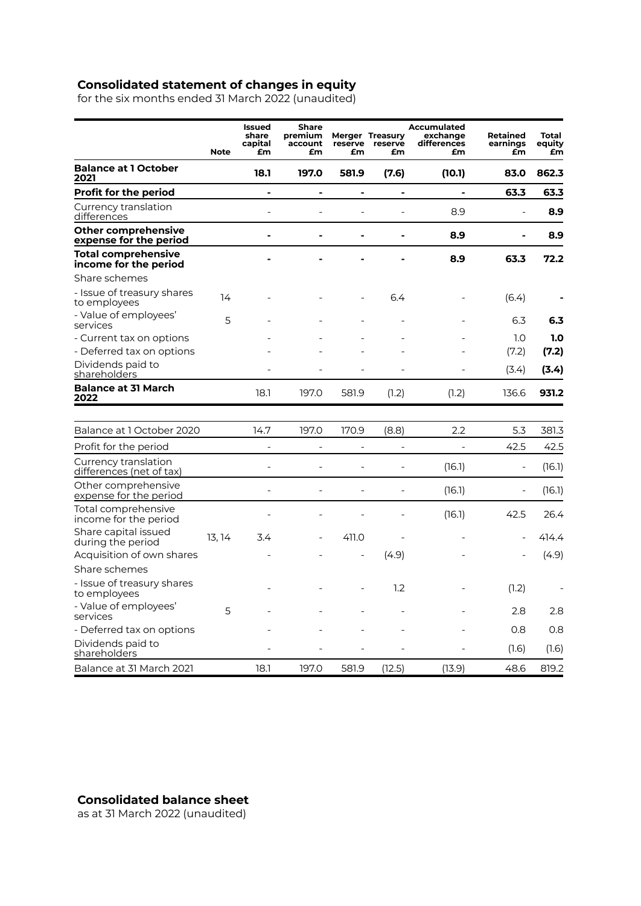#### **Consolidated statement of changes in equity**

for the six months ended 31 March 2022 (unaudited)

|                                                      | <b>Note</b> | Issued<br>share<br>capital<br>£m | <b>Share</b><br>premium<br>account<br>£m | reserve<br>£m     | <b>Merger Treasury</b><br>reserve<br>£m | <b>Accumulated</b><br>exchange<br>differences<br>£m | <b>Retained</b><br>earnings<br>£m | Total<br>equity<br>£m |
|------------------------------------------------------|-------------|----------------------------------|------------------------------------------|-------------------|-----------------------------------------|-----------------------------------------------------|-----------------------------------|-----------------------|
| <b>Balance at 1 October</b><br>2021                  |             | 18.1                             | 197.0                                    | 581.9             | (7.6)                                   | (10.1)                                              | 83.0                              | 862.3                 |
| <b>Profit for the period</b>                         |             | $\blacksquare$                   | Ĭ.                                       | $\blacksquare$    | -                                       |                                                     | 63.3                              | 63.3                  |
| Currency translation<br>differences                  |             | $\overline{a}$                   |                                          |                   |                                         | 8.9                                                 | $\overline{a}$                    | 8.9                   |
| Other comprehensive<br><u>expense for the period</u> |             |                                  |                                          |                   |                                         | 8.9                                                 | $\blacksquare$                    | 8.9                   |
| <b>Total comprehensive</b><br>income for the period  |             |                                  |                                          |                   |                                         | 8.9                                                 | 63.3                              | 72.2                  |
| Share schemes                                        |             |                                  |                                          |                   |                                         |                                                     |                                   |                       |
| - Issue of treasury shares<br>to employees           | 14          |                                  |                                          |                   | 6.4                                     |                                                     | (6.4)                             |                       |
| - Value of employees'<br>services                    | 5           |                                  |                                          |                   |                                         |                                                     | 6.3                               | 6.3                   |
| - Current tax on options                             |             |                                  |                                          |                   |                                         |                                                     | 1.0                               | 1.0                   |
| - Deferred tax on options                            |             |                                  |                                          |                   |                                         |                                                     | (7.2)                             | (7.2)                 |
| Dividends paid to<br>shareholders                    |             |                                  |                                          |                   |                                         |                                                     | (3.4)                             | (3.4)                 |
| <b>Balance at 31 March</b><br>2022                   |             | 18.1                             | 197.0                                    | 581.9             | (1.2)                                   | (1.2)                                               | 136.6                             | 931.2                 |
|                                                      |             |                                  |                                          |                   |                                         |                                                     |                                   |                       |
| Balance at 1 October 2020                            |             | 14.7                             | 197.0                                    | 170.9             | (8.8)                                   | 2.2                                                 | 5.3                               | 381.3                 |
| Profit for the period                                |             | $\overline{\phantom{0}}$         | $\overline{\phantom{0}}$                 | $\qquad \qquad -$ | $\overline{\phantom{0}}$                | $\overline{\phantom{0}}$                            | 42.5                              | 42.5                  |
| Currency translation<br>differences (net of tax)     |             | $\overline{a}$                   |                                          |                   |                                         | (16.1)                                              | $\overline{\phantom{0}}$          | (16.1)                |
| Other comprehensive<br>expense for the period        |             | $\overline{a}$                   |                                          |                   |                                         | (16.1)                                              | $\overline{a}$                    | (16.1)                |
| Total comprehensive<br>income for the period         |             |                                  |                                          |                   |                                         | (16.1)                                              | 42.5                              | 26.4                  |
| Share capital issued<br>during the period            | 13, 14      | 3.4                              |                                          | 411.0             |                                         |                                                     |                                   | 414.4                 |
| Acquisition of own shares                            |             |                                  |                                          |                   | (4.9)                                   |                                                     |                                   | (4.9)                 |
| Share schemes                                        |             |                                  |                                          |                   |                                         |                                                     |                                   |                       |
| - Issue of treasury shares<br>to employees           |             |                                  |                                          |                   | 1.2                                     |                                                     | (1.2)                             |                       |
| - Value of employees'<br>services                    | 5           |                                  |                                          |                   |                                         |                                                     | 2.8                               | 2.8                   |
| - Deferred tax on options                            |             |                                  |                                          |                   |                                         |                                                     | 0.8                               | 0.8                   |
| Dividends paid to<br>shareholders                    |             |                                  |                                          |                   |                                         |                                                     | (1.6)                             | (1.6)                 |
| Balance at 31 March 2021                             |             | 18.1                             | 197.0                                    | 581.9             | (12.5)                                  | (13.9)                                              | 48.6                              | 819.2                 |

**Consolidated balance sheet**

as at 31 March 2022 (unaudited)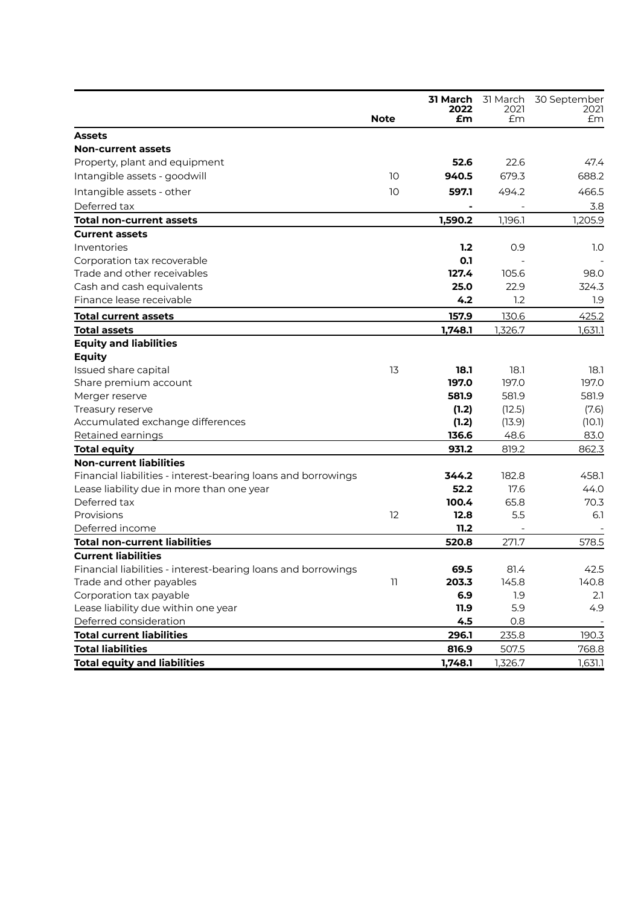|                                                               |             | 2022    | 31 March 31 March<br>2021 | 30 September<br>2021 |
|---------------------------------------------------------------|-------------|---------|---------------------------|----------------------|
|                                                               | <b>Note</b> | £m      | £m                        | £m                   |
| <b>Assets</b>                                                 |             |         |                           |                      |
| <b>Non-current assets</b>                                     |             |         |                           |                      |
| Property, plant and equipment                                 |             | 52.6    | 22.6                      | 47.4                 |
| Intangible assets - goodwill                                  | 10          | 940.5   | 679.3                     | 688.2                |
| Intangible assets - other                                     | 10          | 597.1   | 494.2                     | 466.5                |
| Deferred tax                                                  |             |         |                           | 3.8                  |
| <b>Total non-current assets</b>                               |             | 1,590.2 | 1,196.1                   | 1,205.9              |
| <b>Current assets</b>                                         |             |         |                           |                      |
| Inventories                                                   |             | 1.2     | 0.9                       | 1.0                  |
| Corporation tax recoverable                                   |             | 0.1     |                           |                      |
| Trade and other receivables                                   |             | 127.4   | 105.6                     | 98.0                 |
| Cash and cash equivalents                                     |             | 25.0    | 22.9                      | 324.3                |
| Finance lease receivable                                      |             | 4.2     | 1.2                       | 1.9                  |
| Total current assets                                          |             | 157.9   | 130.6                     | 425.2                |
| <b>Total assets</b>                                           |             | 1,748.1 | 1,326.7                   | 1,631.1              |
| <b>Equity and liabilities</b>                                 |             |         |                           |                      |
| <b>Equity</b>                                                 |             |         |                           |                      |
| Issued share capital                                          | 13          | 18.1    | 18.1                      | 18.1                 |
| Share premium account                                         |             | 197.0   | 197.0                     | 197.0                |
| Merger reserve                                                |             | 581.9   | 581.9                     | 581.9                |
| Treasury reserve                                              |             | (1.2)   | (12.5)                    | (7.6)                |
| Accumulated exchange differences                              |             | (1.2)   | (13.9)                    | (10.1)               |
| Retained earnings                                             |             | 136.6   | 48.6                      | 83.0                 |
| <b>Total equity</b>                                           |             | 931.2   | 819.2                     | 862.3                |
| <b>Non-current liabilities</b>                                |             |         |                           |                      |
| Financial liabilities - interest-bearing loans and borrowings |             | 344.2   | 182.8                     | 458.1                |
| Lease liability due in more than one year                     |             | 52.2    | 17.6                      | 44.0                 |
| Deferred tax                                                  |             | 100.4   | 65.8                      | 70.3                 |
| Provisions                                                    | 12          | 12.8    | 5.5                       | 6.1                  |
| Deferred income                                               |             | 11.2    |                           |                      |
| <b>Total non-current liabilities</b>                          |             | 520.8   | 271.7                     | 578.5                |
| <b>Current liabilities</b>                                    |             |         |                           |                      |
| Financial liabilities - interest-bearing loans and borrowings |             | 69.5    | 81.4                      | 42.5                 |
| Trade and other payables                                      | 11          | 203.3   | 145.8                     | 140.8                |
| Corporation tax payable                                       |             | 6.9     | 1.9                       | 2.1                  |
| Lease liability due within one year                           |             | 11.9    | 5.9                       | 4.9                  |
| Deferred consideration                                        |             | 4.5     | 0.8                       |                      |
| <b>Total current liabilities</b>                              |             | 296.1   | 235.8                     | 190.3                |
| <b>Total liabilities</b>                                      |             | 816.9   | 507.5                     | 768.8                |
| <b>Total equity and liabilities</b>                           |             | 1,748.1 | 1,326.7                   | 1,631.1              |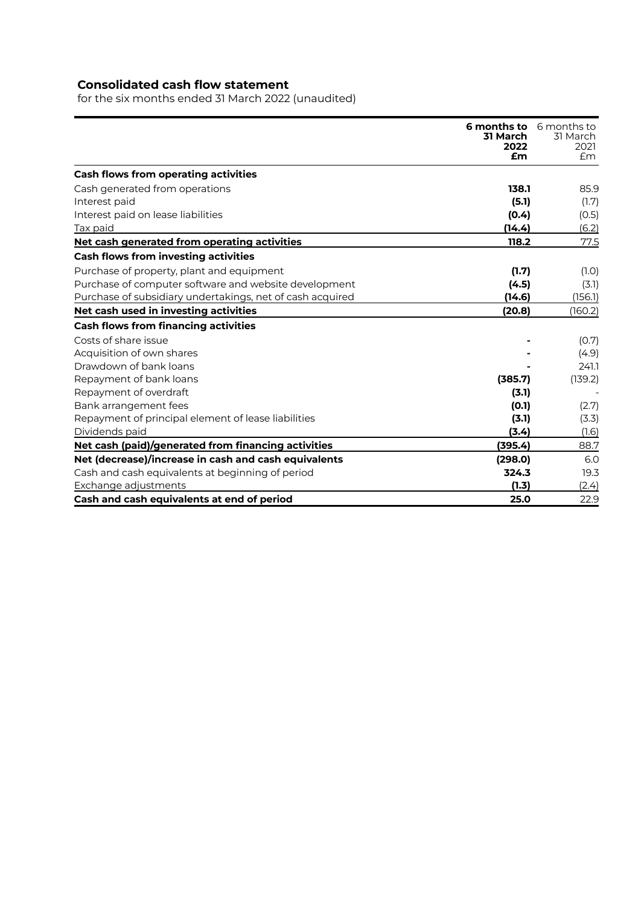## **Consolidated cash flow statement**

for the six months ended 31 March 2022 (unaudited)

|                                                           | <b>6 months to</b><br>31 March<br>2022<br>£m | 6 months to<br>31 March<br>2021<br>£m |
|-----------------------------------------------------------|----------------------------------------------|---------------------------------------|
| <b>Cash flows from operating activities</b>               |                                              |                                       |
| Cash generated from operations                            | 138.1                                        | 85.9                                  |
| Interest paid                                             | (5.1)                                        | (1.7)                                 |
| Interest paid on lease liabilities                        | (0.4)                                        | (0.5)                                 |
| Tax paid                                                  | (14.4)                                       | (6.2)                                 |
| Net cash generated from operating activities              | 118.2                                        | 77.5                                  |
| <b>Cash flows from investing activities</b>               |                                              |                                       |
| Purchase of property, plant and equipment                 | (1.7)                                        | (1.0)                                 |
| Purchase of computer software and website development     | (4.5)                                        | (3.1)                                 |
| Purchase of subsidiary undertakings, net of cash acquired | (14.6)                                       | (156.1)                               |
| Net cash used in investing activities                     | (20.8)                                       | (160.2)                               |
| <b>Cash flows from financing activities</b>               |                                              |                                       |
| Costs of share issue                                      |                                              | (0.7)                                 |
| Acquisition of own shares                                 |                                              | (4.9)                                 |
| Drawdown of bank loans                                    |                                              | 241.1                                 |
| Repayment of bank loans                                   | (385.7)                                      | (139.2)                               |
| Repayment of overdraft                                    | (3.1)                                        |                                       |
| Bank arrangement fees                                     | (0.1)                                        | (2.7)                                 |
| Repayment of principal element of lease liabilities       | (3.1)                                        | (3.3)                                 |
| Dividends paid                                            | (3.4)                                        | (1.6)                                 |
| Net cash (paid)/generated from financing activities       | (395.4)                                      | 88.7                                  |
| Net (decrease)/increase in cash and cash equivalents      | (298.0)                                      | 6.0                                   |
| Cash and cash equivalents at beginning of period          | 324.3                                        | 19.3                                  |
| Exchange adjustments                                      | (1.3)                                        | (2.4)                                 |
| Cash and cash equivalents at end of period                | 25.0                                         | 22.9                                  |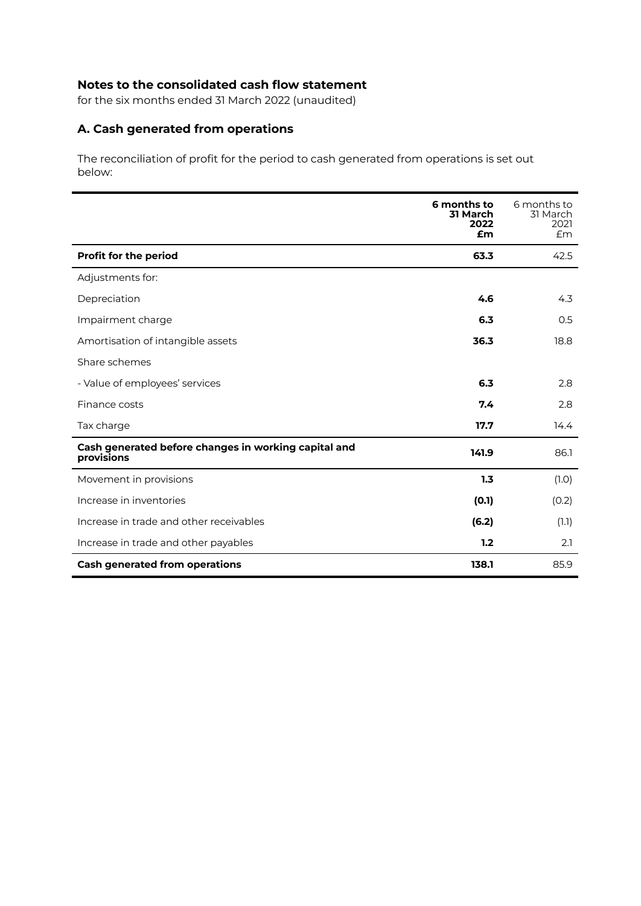## **Notes to the consolidated cash flow statement**

for the six months ended 31 March 2022 (unaudited)

### **A. Cash generated from operations**

The reconciliation of profit for the period to cash generated from operations is set out below:

|                                                                    | 6 months to<br>31 March<br>2022<br>£m | 6 months to<br>31 March<br>2021<br>Em |
|--------------------------------------------------------------------|---------------------------------------|---------------------------------------|
| <b>Profit for the period</b>                                       | 63.3                                  | 42.5                                  |
| Adjustments for:                                                   |                                       |                                       |
| Depreciation                                                       | 4.6                                   | 4.3                                   |
| Impairment charge                                                  | 6.3                                   | 0.5                                   |
| Amortisation of intangible assets                                  | 36.3                                  | 18.8                                  |
| Share schemes                                                      |                                       |                                       |
| - Value of employees' services                                     | 6.3                                   | 2.8                                   |
| Finance costs                                                      | 7.4                                   | 2.8                                   |
| Tax charge                                                         | 17.7                                  | 14.4                                  |
| Cash generated before changes in working capital and<br>provisions | 141.9                                 | 86.1                                  |
| Movement in provisions                                             | 1.3                                   | (1.0)                                 |
| Increase in inventories                                            | (0.1)                                 | (0.2)                                 |
| Increase in trade and other receivables                            | (6.2)                                 | (1.1)                                 |
| Increase in trade and other payables                               | 1.2                                   | 2.1                                   |
| <b>Cash generated from operations</b>                              | 138.1                                 | 85.9                                  |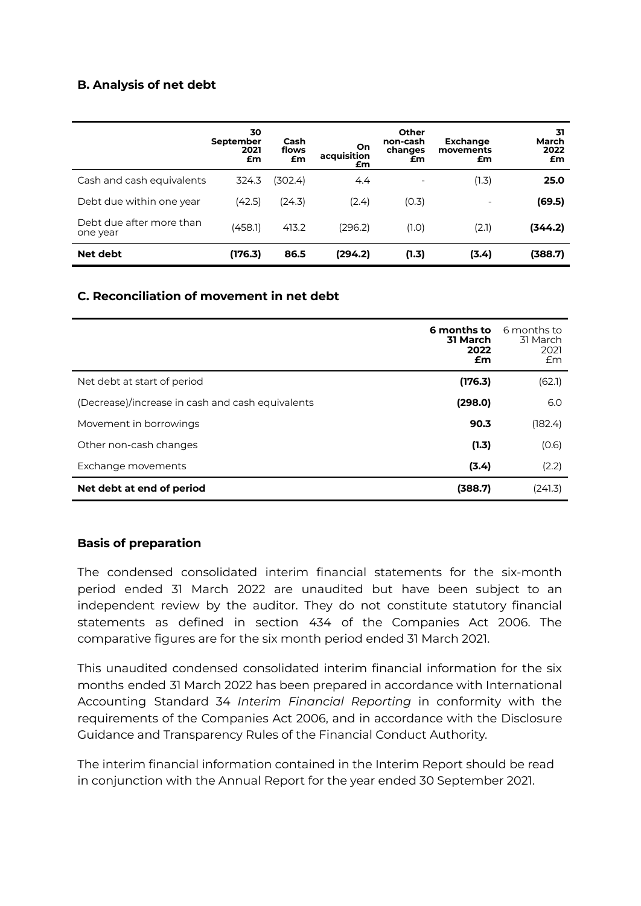### **B. Analysis of net debt**

|                                      | 30<br>September<br>2021<br>£m | Cash<br>flows<br>£m | On<br>acquisition<br>£m | Other<br>non-cash<br>changes<br>£m | <b>Exchange</b><br>movements<br>£m | 31<br>March<br>2022<br>£m |
|--------------------------------------|-------------------------------|---------------------|-------------------------|------------------------------------|------------------------------------|---------------------------|
| Cash and cash equivalents            | 324.3                         | 302.4)              | 4.4                     | $\overline{\phantom{0}}$           | (1.3)                              | 25.0                      |
| Debt due within one year             | (42.5)                        | (24.3)              | (2.4)                   | (0.3)                              | $\overline{\phantom{0}}$           | (69.5)                    |
| Debt due after more than<br>one year | (458.1)                       | 413.2               | (296.2)                 | (1.0)                              | (2.1)                              | (344.2)                   |
| Net debt                             | (176.3)                       | 86.5                | (294.2)                 | (1.3)                              | (3.4)                              | (388.7)                   |

### **C. Reconciliation of movement in net debt**

|                                                  | 6 months to<br>31 March<br>2022<br>£m | 6 months to<br>31 March<br>2021<br>Em |
|--------------------------------------------------|---------------------------------------|---------------------------------------|
| Net debt at start of period                      | (176.3)                               | (62.1)                                |
| (Decrease)/increase in cash and cash equivalents | (298.0)                               | 6.0                                   |
| Movement in borrowings                           | 90.3                                  | (182.4)                               |
| Other non-cash changes                           | (1.3)                                 | (0.6)                                 |
| Exchange movements                               | (3.4)                                 | (2.2)                                 |
| Net debt at end of period                        | (388.7)                               | (241.3)                               |

### **Basis of preparation**

The condensed consolidated interim financial statements for the six-month period ended 31 March 2022 are unaudited but have been subject to an independent review by the auditor. They do not constitute statutory financial statements as defined in section 434 of the Companies Act 2006. The comparative figures are for the six month period ended 31 March 2021.

This unaudited condensed consolidated interim financial information for the six months ended 31 March 2022 has been prepared in accordance with International Accounting Standard 34 *Interim Financial Reporting* in conformity with the requirements of the Companies Act 2006, and in accordance with the Disclosure Guidance and Transparency Rules of the Financial Conduct Authority.

The interim financial information contained in the Interim Report should be read in conjunction with the Annual Report for the year ended 30 September 2021.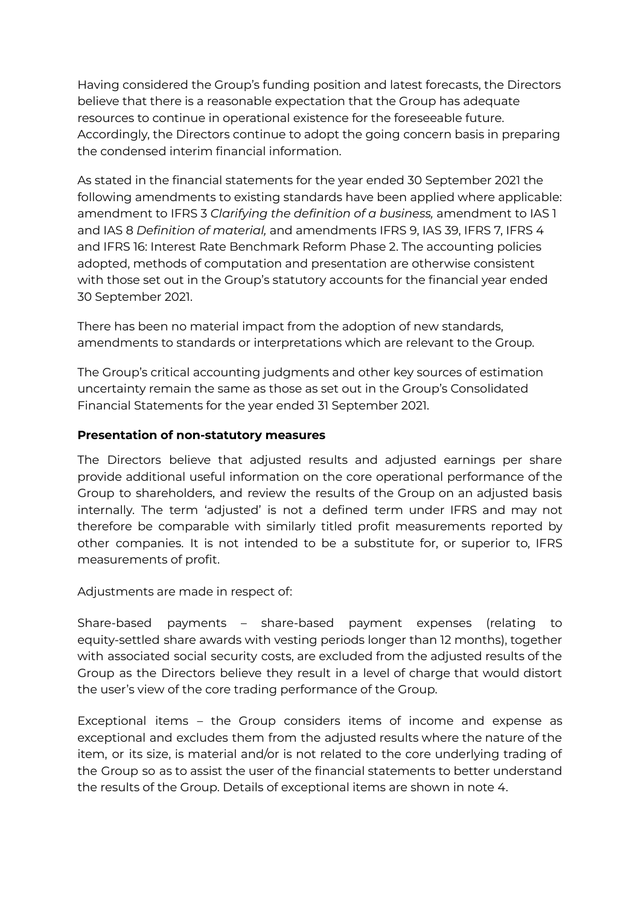Having considered the Group's funding position and latest forecasts, the Directors believe that there is a reasonable expectation that the Group has adequate resources to continue in operational existence for the foreseeable future. Accordingly, the Directors continue to adopt the going concern basis in preparing the condensed interim financial information.

As stated in the financial statements for the year ended 30 September 2021 the following amendments to existing standards have been applied where applicable: amendment to IFRS 3 *Clarifying the definition of a business,* amendment to IAS 1 and IAS 8 *Definition of material,* and amendments IFRS 9, IAS 39, IFRS 7, IFRS 4 and IFRS 16: Interest Rate Benchmark Reform Phase 2. The accounting policies adopted, methods of computation and presentation are otherwise consistent with those set out in the Group's statutory accounts for the financial year ended 30 September 2021.

There has been no material impact from the adoption of new standards, amendments to standards or interpretations which are relevant to the Group.

The Group's critical accounting judgments and other key sources of estimation uncertainty remain the same as those as set out in the Group's Consolidated Financial Statements for the year ended 31 September 2021.

### **Presentation of non-statutory measures**

The Directors believe that adjusted results and adjusted earnings per share provide additional useful information on the core operational performance of the Group to shareholders, and review the results of the Group on an adjusted basis internally. The term 'adjusted' is not a defined term under IFRS and may not therefore be comparable with similarly titled profit measurements reported by other companies. It is not intended to be a substitute for, or superior to, IFRS measurements of profit.

Adjustments are made in respect of:

Share-based payments – share-based payment expenses (relating to equity-settled share awards with vesting periods longer than 12 months), together with associated social security costs, are excluded from the adjusted results of the Group as the Directors believe they result in a level of charge that would distort the user's view of the core trading performance of the Group.

Exceptional items – the Group considers items of income and expense as exceptional and excludes them from the adjusted results where the nature of the item, or its size, is material and/or is not related to the core underlying trading of the Group so as to assist the user of the financial statements to better understand the results of the Group. Details of exceptional items are shown in note 4.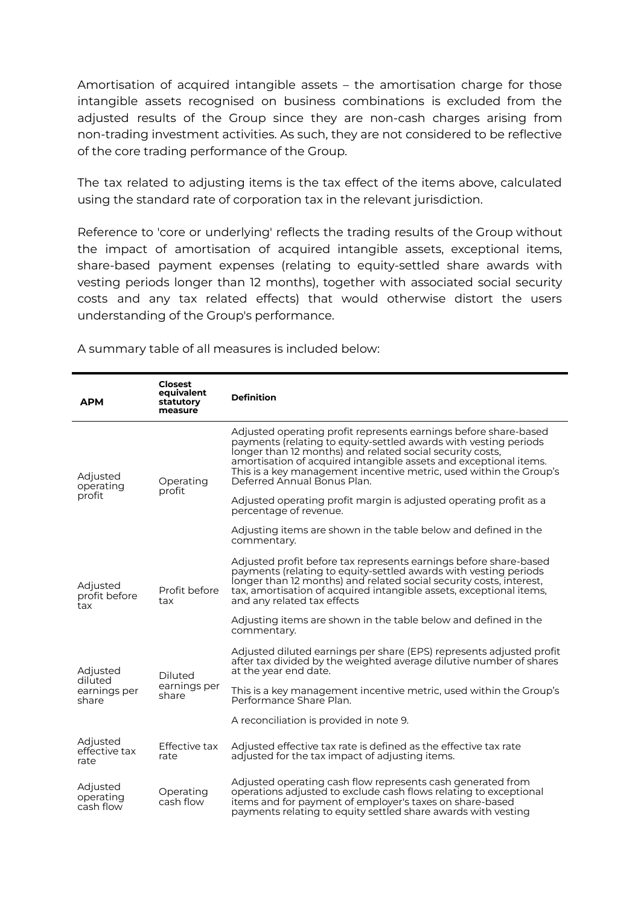Amortisation of acquired intangible assets – the amortisation charge for those intangible assets recognised on business combinations is excluded from the adjusted results of the Group since they are non-cash charges arising from non-trading investment activities. As such, they are not considered to be reflective of the core trading performance of the Group.

The tax related to adjusting items is the tax effect of the items above, calculated using the standard rate of corporation tax in the relevant jurisdiction.

Reference to 'core or underlying' reflects the trading results of the Group without the impact of amortisation of acquired intangible assets, exceptional items, share-based payment expenses (relating to equity-settled share awards with vesting periods longer than 12 months), together with associated social security costs and any tax related effects) that would otherwise distort the users understanding of the Group's performance.

**APM Closest equivalent statutory measure Definition** Adjusted operating profit Operating profit Adjusted operating profit represents earnings before share-based payments (relating to equity-settled awards with vesting periods longer than 12 months) and related social security costs, amortisation of acquired intangible assets and exceptional items. This is a key management incentive metric, used within the Group's Deferred Annual Bonus Plan. Adjusted operating profit margin is adjusted operating profit as a percentage of revenue. Adjusting items are shown in the table below and defined in the commentary. **Adjusted** profit before tax Profit before tax Adjusted profit before tax represents earnings before share-based payments (relating to equity-settled awards with vesting periods longer than 12 months) and related social security costs, interest, tax, amortisation of acquired intangible assets, exceptional items, and any related tax effects Adjusting items are shown in the table below and defined in the commentary. Adjusted diluted earnings per share Diluted earnings per share Adjusted diluted earnings per share (EPS) represents adjusted profit after tax divided by the weighted average dilutive number of shares at the year end date. This is a key management incentive metric, used within the Group's Performance Share Plan. A reconciliation is provided in note 9. Adjusted effective tax rate Effective tax rate Adjusted effective tax rate is defined as the effective tax rate adjusted for the tax impact of adjusting items. Adjusted operating cash flow Operating cash flow Adjusted operating cash flow represents cash generated from operations adjusted to exclude cash flows relating to exceptional items and for payment of employer's taxes on share-based payments relating to equity settled share awards with vesting

A summary table of all measures is included below: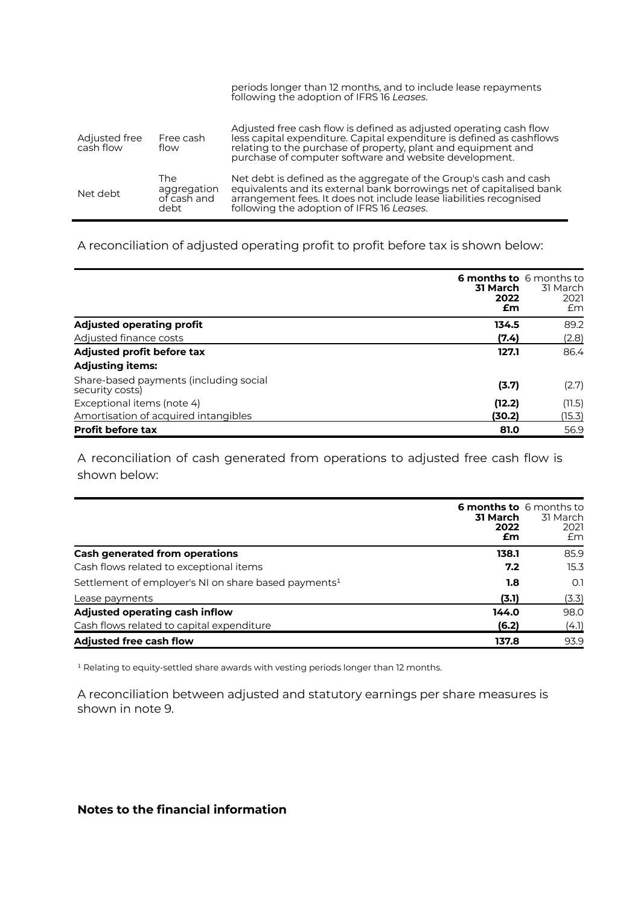|                            |                                           | periods longer than 12 months, and to include lease repayments<br>following the adoption of IFRS 16 Leases.                                                                                                                                                            |
|----------------------------|-------------------------------------------|------------------------------------------------------------------------------------------------------------------------------------------------------------------------------------------------------------------------------------------------------------------------|
| Adjusted free<br>cash flow | Free cash<br>flow                         | Adjusted free cash flow is defined as adjusted operating cash flow<br>less capital expenditure. Capital expenditure is defined as cashflows<br>relating to the purchase of property, plant and equipment and<br>purchase of computer software and website development. |
| Net debt                   | The<br>aggregation<br>of cash and<br>debt | Net debt is defined as the aggregate of the Group's cash and cash<br>equivalents and its external bank borrowings net of capitalised bank<br>arrangement fees. It does not include lease liabilities recognised<br>following the adoption of IFRS 16 Leases.           |

### A reconciliation of adjusted operating profit to profit before tax is shown below:

|                                                           | <b>6 months to</b> 6 months to<br>31 March<br>2022<br>£m | 31 March<br>2021<br>£m |
|-----------------------------------------------------------|----------------------------------------------------------|------------------------|
| <b>Adjusted operating profit</b>                          | 134.5                                                    | 89.2                   |
| Adjusted finance costs                                    | (7.4)                                                    | (2.8)                  |
| Adjusted profit before tax                                | 127.1                                                    | 86.4                   |
| <b>Adjusting items:</b>                                   |                                                          |                        |
| Share-based payments (including social<br>security costs) | (3.7)                                                    | (2.7)                  |
| Exceptional items (note 4)                                | (12.2)                                                   | (11.5)                 |
| Amortisation of acquired intangibles                      | (30.2)                                                   | (15.3)                 |
| <b>Profit before tax</b>                                  | 81.0                                                     | 56.9                   |

A reconciliation of cash generated from operations to adjusted free cash flow is shown below:

|                                                                  | <b>6 months to</b> 6 months to<br>31 March<br>2022<br>£m | 31 March<br>2021<br>£m |
|------------------------------------------------------------------|----------------------------------------------------------|------------------------|
| <b>Cash generated from operations</b>                            | 138.1                                                    | 85.9                   |
| Cash flows related to exceptional items                          | 7.2                                                      | 15.3                   |
| Settlement of employer's NI on share based payments <sup>1</sup> | 1.8                                                      | O.1                    |
| Lease payments                                                   | (3.1)                                                    | (3.3)                  |
| Adjusted operating cash inflow                                   | 144.0                                                    | 98.0                   |
| Cash flows related to capital expenditure                        | (6.2)                                                    | (4.1)                  |
| <b>Adjusted free cash flow</b>                                   | 137.8                                                    | 93.9                   |

<sup>1</sup> Relating to equity-settled share awards with vesting periods longer than 12 months.

A reconciliation between adjusted and statutory earnings per share measures is shown in note 9.

### **Notes to the financial information**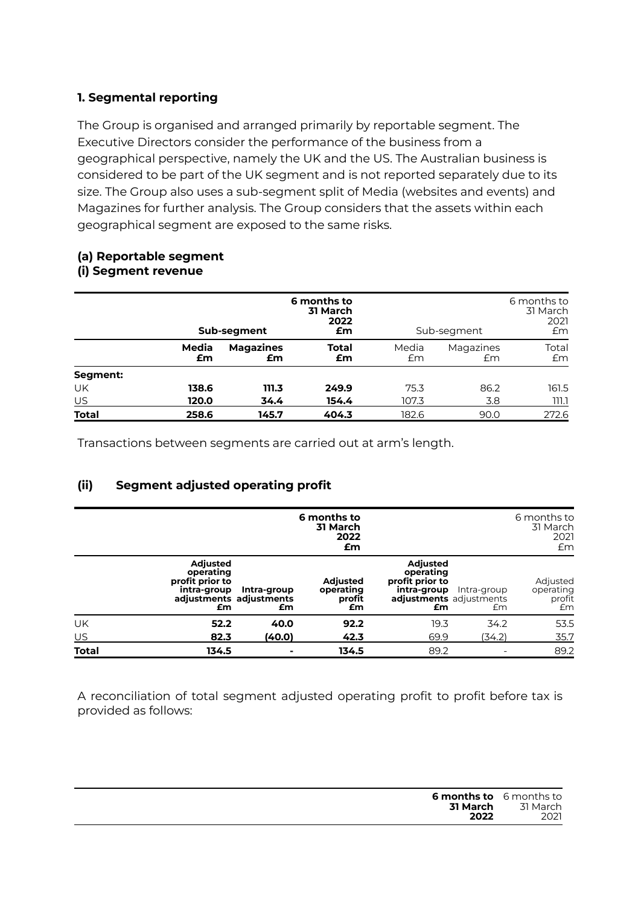### **1. Segmental reporting**

The Group is organised and arranged primarily by reportable segment. The Executive Directors consider the performance of the business from a geographical perspective, namely the UK and the US. The Australian business is considered to be part of the UK segment and is not reported separately due to its size. The Group also uses a sub-segment split of Media (websites and events) and Magazines for further analysis. The Group considers that the assets within each geographical segment are exposed to the same risks.

## **(a) Reportable segment**

### **(i) Segment revenue**

|              |             | Sub-segment            | 6 months to<br>31 March<br>2022<br>£m |             | Sub-segment     | 6 months to<br>31 March<br>2021<br>£m |
|--------------|-------------|------------------------|---------------------------------------|-------------|-----------------|---------------------------------------|
|              | Media<br>£m | <b>Magazines</b><br>£m | <b>Total</b><br>£m                    | Media<br>£m | Magazines<br>£m | Total<br>£m                           |
| Segment:     |             |                        |                                       |             |                 |                                       |
| UK           | 138.6       | 111.3                  | 249.9                                 | 75.3        | 86.2            | 161.5                                 |
| $US$         | 120.0       | 34.4                   | 154.4                                 | 107.3       | 3.8             | ו.ווו                                 |
| <b>Total</b> | 258.6       | 145.7                  | 404.3                                 | 182.6       | 90.0            | 272.6                                 |

Transactions between segments are carried out at arm's length.

### **(ii) Segment adjusted operating profit**

|              |                                                                      |                                              | 6 months to<br>31 March<br>2022<br>£m        |                                                                                                 |                   | 6 months to<br>31 March<br>2021<br>£m |
|--------------|----------------------------------------------------------------------|----------------------------------------------|----------------------------------------------|-------------------------------------------------------------------------------------------------|-------------------|---------------------------------------|
|              | <b>Adjusted</b><br>operating<br>profit prior to<br>intra-group<br>£m | Intra-group<br>adjustments adjustments<br>£m | <b>Adjusted</b><br>operating<br>profit<br>£m | <b>Adjusted</b><br>operating<br>profit prior to<br>intra-group<br>adjustments adjustments<br>£m | Intra-group<br>£m | Adjusted<br>operating<br>profit<br>Em |
| UK           | 52.2                                                                 | 40.0                                         | 92.2                                         | 19.3                                                                                            | 34.2              | 53.5                                  |
| US           | 82.3                                                                 | (40.0)                                       | 42.3                                         | 69.9                                                                                            | (34.2)            | 35.7                                  |
| <b>Total</b> | 134.5                                                                | $\blacksquare$                               | 134.5                                        | 89.2                                                                                            |                   | 89.2                                  |

A reconciliation of total segment adjusted operating profit to profit before tax is provided as follows:

| <b>6 months to</b> 6 months to<br>31 March | 31 March |
|--------------------------------------------|----------|
| 2022                                       | 2021     |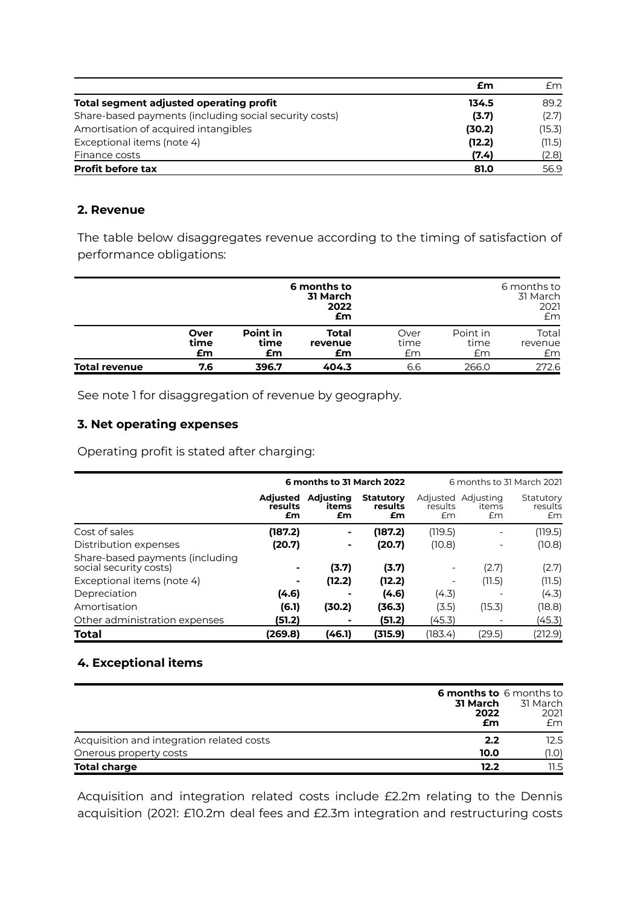|                                                        | £m     | £m     |
|--------------------------------------------------------|--------|--------|
| Total segment adjusted operating profit                | 134.5  | 89.2   |
| Share-based payments (including social security costs) | (3.7)  | (2.7)  |
| Amortisation of acquired intangibles                   | (30.2) | (15.3) |
| Exceptional items (note 4)                             | (12.2) | (11.5) |
| Finance costs                                          | (7.4)  | (2.8)  |
| <b>Profit before tax</b>                               | 81.0   | 56.9   |

### **2. Revenue**

The table below disaggregates revenue according to the timing of satisfaction of performance obligations:

|                      |                    |                        | 6 months to<br>31 March<br>2022<br>£m |                    |                        | 6 months to<br>31 March<br>2021<br>Em |
|----------------------|--------------------|------------------------|---------------------------------------|--------------------|------------------------|---------------------------------------|
|                      | Over<br>time<br>£m | Point in<br>time<br>£m | <b>Total</b><br>revenue<br>£m         | Over<br>time<br>£m | Point in<br>time<br>£m | Total<br>revenue<br>£m                |
| <b>Total revenue</b> | 7.6                | 396.7                  | 404.3                                 | 6.6                | 266.0                  | 272.6                                 |

See note 1 for disaggregation of revenue by geography.

### **3. Net operating expenses**

Operating profit is stated after charging:

|                                                           |                                  | 6 months to 31 March 2022       |                                   |               |                                   | 6 months to 31 March 2021  |
|-----------------------------------------------------------|----------------------------------|---------------------------------|-----------------------------------|---------------|-----------------------------------|----------------------------|
|                                                           | <b>Adjusted</b><br>results<br>£m | <b>Adjusting</b><br>items<br>£m | <b>Statutory</b><br>results<br>£m | results<br>£m | Adjusted Adjusting<br>items<br>Em | Statutory<br>results<br>Em |
| Cost of sales                                             | (187.2)                          | ۰.                              | (187.2)                           | (119.5)       |                                   | (119.5)                    |
| Distribution expenses                                     | (20.7)                           | ۰                               | (20.7)                            | (10.8)        |                                   | (10.8)                     |
| Share-based payments (including<br>social security costs) |                                  | (3.7)                           | (3.7)                             |               | (2.7)                             | (2.7)                      |
| Exceptional items (note 4)                                | ۰                                | (12.2)                          | (12.2)                            |               | (11.5)                            | (11.5)                     |
| Depreciation                                              | (4.6)                            |                                 | (4.6)                             | (4.3)         |                                   | (4.3)                      |
| Amortisation                                              | (6.1)                            | (30.2)                          | (36.3)                            | (3.5)         | (15.3)                            | (18.8)                     |
| Other administration expenses                             | (51.2)                           |                                 | (51.2)                            | (45.3)        |                                   | (45.3)                     |
| <b>Total</b>                                              | (269.8)                          | (46.1)                          | (315.9)                           | (183.4)       | (29.5)                            | (212.9)                    |

### **4. Exceptional items**

|                                           | <b>6 months to</b> 6 months to<br>31 March<br>2022<br>£m | 31 March<br>2021<br>£m |
|-------------------------------------------|----------------------------------------------------------|------------------------|
| Acquisition and integration related costs | 2.2                                                      | 12.5                   |
| Onerous property costs                    | 10.0                                                     | (1.O)                  |
| <b>Total charge</b>                       | 12.2                                                     | 11.5                   |

Acquisition and integration related costs include £2.2m relating to the Dennis acquisition (2021: £10.2m deal fees and £2.3m integration and restructuring costs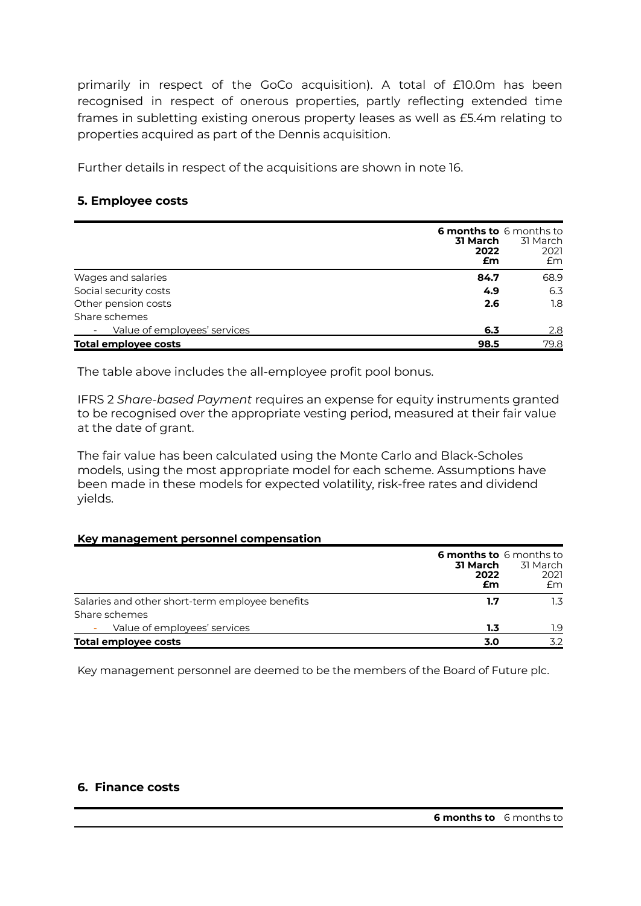primarily in respect of the GoCo acquisition). A total of £10.0m has been recognised in respect of onerous properties, partly reflecting extended time frames in subletting existing onerous property leases as well as £5.4m relating to properties acquired as part of the Dennis acquisition.

Further details in respect of the acquisitions are shown in note 16.

### **5. Employee costs**

|                              | 31 March<br>2022<br>£m | <b>6 months to</b> 6 months to<br>31 March<br>2021<br>£m |
|------------------------------|------------------------|----------------------------------------------------------|
| Wages and salaries           | 84.7                   | 68.9                                                     |
| Social security costs        | 4.9                    | 6.3                                                      |
| Other pension costs          | 2.6                    | 1.8                                                      |
| Share schemes                |                        |                                                          |
| Value of employees' services | 6.3                    | 2.8                                                      |
| <b>Total employee costs</b>  | 98.5                   | 79.8                                                     |

The table above includes the all-employee profit pool bonus.

IFRS 2 *Share-based Payment* requires an expense for equity instruments granted to be recognised over the appropriate vesting period, measured at their fair value at the date of grant.

The fair value has been calculated using the Monte Carlo and Black-Scholes models, using the most appropriate model for each scheme. Assumptions have been made in these models for expected volatility, risk-free rates and dividend yields.

#### **Key management personnel compensation**

|                                                 | 31 March<br>2022<br>£m | <b>6 months to</b> 6 months to<br>31 March<br>2021<br>Em |
|-------------------------------------------------|------------------------|----------------------------------------------------------|
| Salaries and other short-term employee benefits | 1.7                    | 1.3                                                      |
| Share schemes                                   |                        |                                                          |
| Value of employees' services                    | 1.3                    | 1.9                                                      |
| <b>Total employee costs</b>                     | 3.0                    | 3.2                                                      |

Key management personnel are deemed to be the members of the Board of Future plc.

#### **6. Finance costs**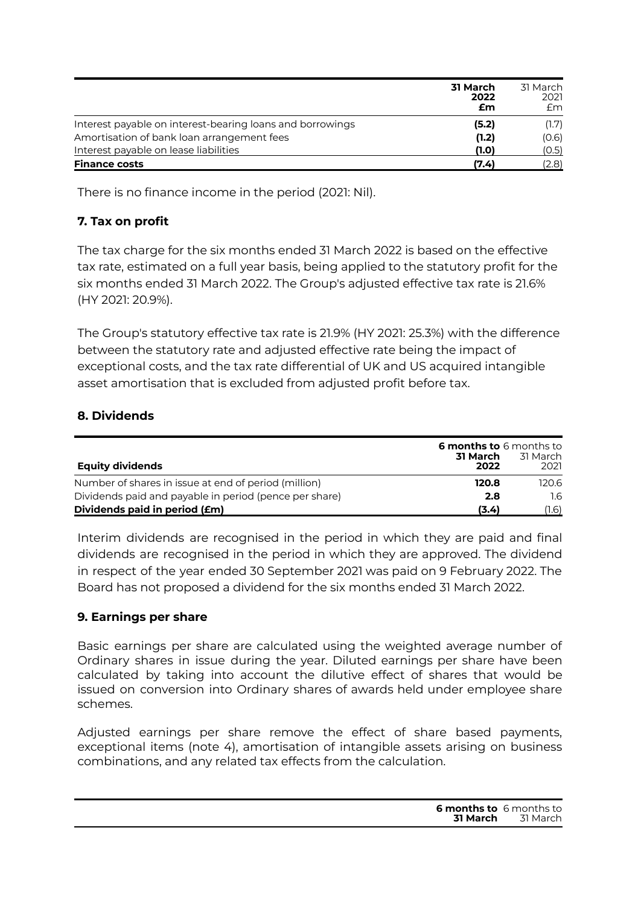|                                                           | <b>31 March</b><br>2022<br>£m | 31 March<br>2021<br>£m |
|-----------------------------------------------------------|-------------------------------|------------------------|
| Interest payable on interest-bearing loans and borrowings | (5.2)                         | (1.7)                  |
| Amortisation of bank loan arrangement fees                | (1.2)                         | (0.6)                  |
| Interest payable on lease liabilities                     | (1.0)                         | (0.5)                  |
| <b>Finance costs</b>                                      | (7.4)                         | (2.8)                  |

There is no finance income in the period (2021: Nil).

### **7. Tax on profit**

The tax charge for the six months ended 31 March 2022 is based on the effective tax rate, estimated on a full year basis, being applied to the statutory profit for the six months ended 31 March 2022. The Group's adjusted effective tax rate is 21.6% (HY 2021: 20.9%).

The Group's statutory effective tax rate is 21.9% (HY 2021: 25.3%) with the difference between the statutory rate and adjusted effective rate being the impact of exceptional costs, and the tax rate differential of UK and US acquired intangible asset amortisation that is excluded from adjusted profit before tax.

### **8. Dividends**

| Equity dividends                                       | <b>6 months to</b> 6 months to<br>31 March<br>2022 | 31 March<br>2021 |
|--------------------------------------------------------|----------------------------------------------------|------------------|
| Number of shares in issue at end of period (million)   | 120.8                                              | 120.6            |
| Dividends paid and payable in period (pence per share) | 2.8                                                | 1.6              |
| Dividends paid in period (£m)                          | (3.4)                                              | (1.6)            |

Interim dividends are recognised in the period in which they are paid and final dividends are recognised in the period in which they are approved. The dividend in respect of the year ended 30 September 2021 was paid on 9 February 2022. The Board has not proposed a dividend for the six months ended 31 March 2022.

### **9. Earnings per share**

Basic earnings per share are calculated using the weighted average number of Ordinary shares in issue during the year. Diluted earnings per share have been calculated by taking into account the dilutive effect of shares that would be issued on conversion into Ordinary shares of awards held under employee share schemes.

Adjusted earnings per share remove the effect of share based payments, exceptional items (note 4), amortisation of intangible assets arising on business combinations, and any related tax effects from the calculation.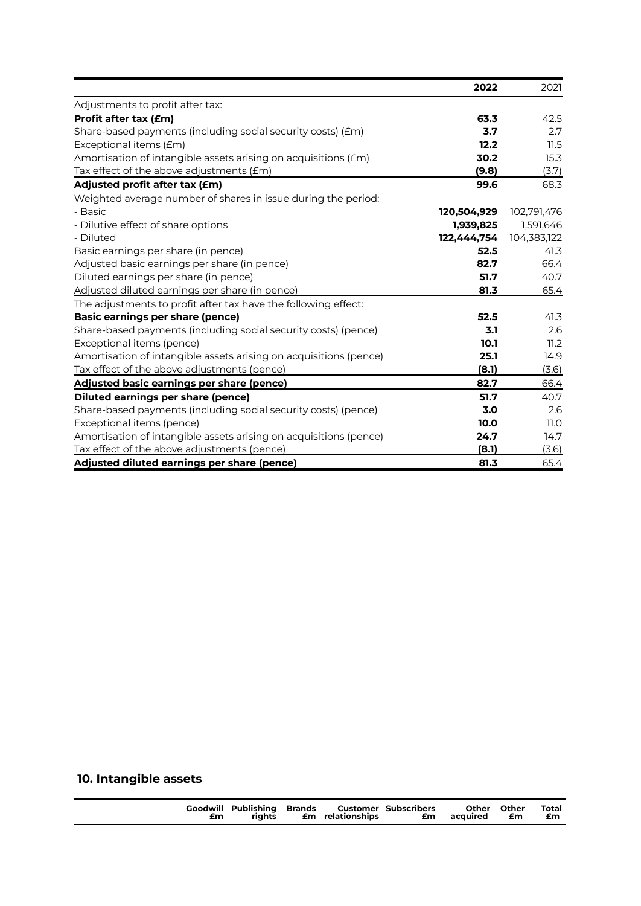|                                                                   | 2022        | 2021        |
|-------------------------------------------------------------------|-------------|-------------|
| Adjustments to profit after tax:                                  |             |             |
| Profit after tax (£m)                                             | 63.3        | 42.5        |
| Share-based payments (including social security costs) (£m)       | 3.7         | 2.7         |
| Exceptional items (£m)                                            | 12.2        | 11.5        |
| Amortisation of intangible assets arising on acquisitions (£m)    | 30.2        | 15.3        |
| Tax effect of the above adjustments (£m)                          | (9.8)       | (3.7)       |
| Adjusted profit after tax (£m)                                    | 99.6        | 68.3        |
| Weighted average number of shares in issue during the period:     |             |             |
| - Basic                                                           | 120,504,929 | 102,791,476 |
| - Dilutive effect of share options                                | 1,939,825   | 1,591,646   |
| - Diluted                                                         | 122,444,754 | 104,383,122 |
| Basic earnings per share (in pence)                               | 52.5        | 41.3        |
| Adjusted basic earnings per share (in pence)                      | 82.7        | 66.4        |
| Diluted earnings per share (in pence)                             | 51.7        | 40.7        |
| Adjusted diluted earnings per share (in pence)                    | 81.3        | 65.4        |
| The adjustments to profit after tax have the following effect:    |             |             |
| <b>Basic earnings per share (pence)</b>                           | 52.5        | 41.3        |
| Share-based payments (including social security costs) (pence)    | 3.1         | 2.6         |
| Exceptional items (pence)                                         | 10.1        | 11.2        |
| Amortisation of intangible assets arising on acquisitions (pence) | 25.1        | 14.9        |
| Tax effect of the above adjustments (pence)                       | (8.1)       | (3.6)       |
| Adjusted basic earnings per share (pence)                         | 82.7        | 66.4        |
| <b>Diluted earnings per share (pence)</b>                         | 51.7        | 40.7        |
| Share-based payments (including social security costs) (pence)    | 3.0         | 2.6         |
| Exceptional items (pence)                                         | 10.0        | 11.0        |
| Amortisation of intangible assets arising on acquisitions (pence) | 24.7        | 14.7        |
| Tax effect of the above adjustments (pence)                       | (8.1)       | (3.6)       |
| Adjusted diluted earnings per share (pence)                       | 81.3        | 65.4        |

## **10. Intangible assets**

| <b>Goodwill Publishing Brands Customer Subscribers</b><br>riahts<br>£m |  | <b>Em</b> relationships |  | Other Other<br><b>£m</b> acquired | <b>Em</b> | Total<br>£m |
|------------------------------------------------------------------------|--|-------------------------|--|-----------------------------------|-----------|-------------|
|------------------------------------------------------------------------|--|-------------------------|--|-----------------------------------|-----------|-------------|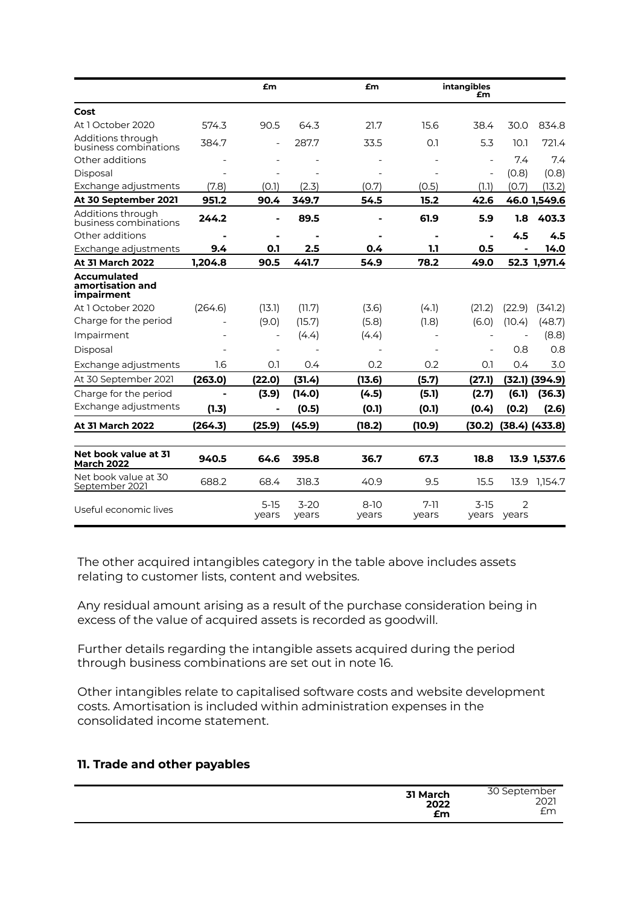|                                                      |                | £m                       |                   | £m              |                          | intangibles<br>£m        |                         |                |
|------------------------------------------------------|----------------|--------------------------|-------------------|-----------------|--------------------------|--------------------------|-------------------------|----------------|
| Cost                                                 |                |                          |                   |                 |                          |                          |                         |                |
| At 1 October 2020                                    | 574.3          | 90.5                     | 64.3              | 21.7            | 15.6                     | 38.4                     | 30.0                    | 834.8          |
| Additions through<br>business combinations           | 384.7          |                          | 287.7             | 33.5            | 0.1                      | 5.3                      | 10.1                    | 721.4          |
| Other additions                                      |                |                          |                   |                 |                          | $\blacksquare$           | 7.4                     | 7.4            |
| Disposal                                             |                |                          |                   |                 |                          | $\overline{\phantom{a}}$ | (0.8)                   | (0.8)          |
| Exchange adjustments                                 | (7.8)          | (0.1)                    | (2.3)             | (0.7)           | (0.5)                    | (1.1)                    | (0.7)                   | (13.2)         |
| At 30 September 2021                                 | 951.2          | 90.4                     | 349.7             | 54.5            | 15.2                     | 42.6                     |                         | 46.0 1,549.6   |
| Additions through<br>business combinations           | 244.2          |                          | 89.5              |                 | 61.9                     | 5.9                      | 1.8                     | 403.3          |
| Other additions                                      | $\blacksquare$ | $\blacksquare$           | $\blacksquare$    | $\blacksquare$  | $\blacksquare$           | $\blacksquare$           | 4.5                     | 4.5            |
| Exchange adjustments                                 | 9.4            | 0.1                      | 2.5               | 0.4             | 1.1                      | 0.5                      | ÷                       | 14.0           |
| <b>At 31 March 2022</b>                              | 1.204.8        | 90.5                     | 441.7             | 54.9            | 78.2                     | 49.0                     |                         | 52.3 1,971.4   |
| <b>Accumulated</b><br>amortisation and<br>impairment |                |                          |                   |                 |                          |                          |                         |                |
| At 1 October 2020                                    | (264.6)        | (13.1)                   | (11.7)            | (3.6)           | (4.1)                    | (21.2)                   | (22.9)                  | (341.2)        |
| Charge for the period                                |                | (9.0)                    | (15.7)            | (5.8)           | (1.8)                    | (6.0)                    | (10.4)                  | (48.7)         |
| Impairment                                           |                | $\overline{\phantom{0}}$ | (4.4)             | (4.4)           | $\overline{\phantom{0}}$ |                          |                         | (8.8)          |
| Disposal                                             |                |                          |                   |                 |                          |                          | 0.8                     | 0.8            |
| Exchange adjustments                                 | 1.6            | 0.1                      | 0.4               | 0.2             | 0.2                      | 0.1                      | 0.4                     | 3.0            |
| At 30 September 2021                                 | (263.0)        | (22.0)                   | (31.4)            | (13.6)          | (5.7)                    | (27.1)                   | (32.1)                  | (394.9)        |
| Charge for the period                                |                | (3.9)                    | (14.0)            | (4.5)           | (5.1)                    | (2.7)                    | (6.1)                   | (36.3)         |
| Exchange adjustments                                 | (1.3)          | -                        | (0.5)             | (0.1)           | (0.1)                    | (0.4)                    | (0.2)                   | (2.6)          |
| <b>At 31 March 2022</b>                              | (264.3)        | (25.9)                   | (45.9)            | (18.2)          | (10.9)                   | (30.2)                   |                         | (38.4) (433.8) |
| Net book value at 31<br><b>March 2022</b>            | 940.5          | 64.6                     | 395.8             | 36.7            | 67.3                     | 18.8                     |                         | 13.9 1,537.6   |
| Net book value at 30<br>September 2021               | 688.2          | 68.4                     | 318.3             | 40.9            | 9.5                      | 15.5                     | 13.9                    | 1,154.7        |
| Useful economic lives                                |                | $5-15$<br>years          | $3 - 20$<br>years | $8-10$<br>years | $7-11$<br>years          | $3-15$<br>years          | $\overline{2}$<br>years |                |

The other acquired intangibles category in the table above includes assets relating to customer lists, content and websites.

Any residual amount arising as a result of the purchase consideration being in excess of the value of acquired assets is recorded as goodwill.

Further details regarding the intangible assets acquired during the period through business combinations are set out in note 16.

Other intangibles relate to capitalised software costs and website development costs. Amortisation is included within administration expenses in the consolidated income statement.

### **11. Trade and other payables**

| 31 March | 30 September |
|----------|--------------|
| 2022     | 2021         |
| £m       | £m           |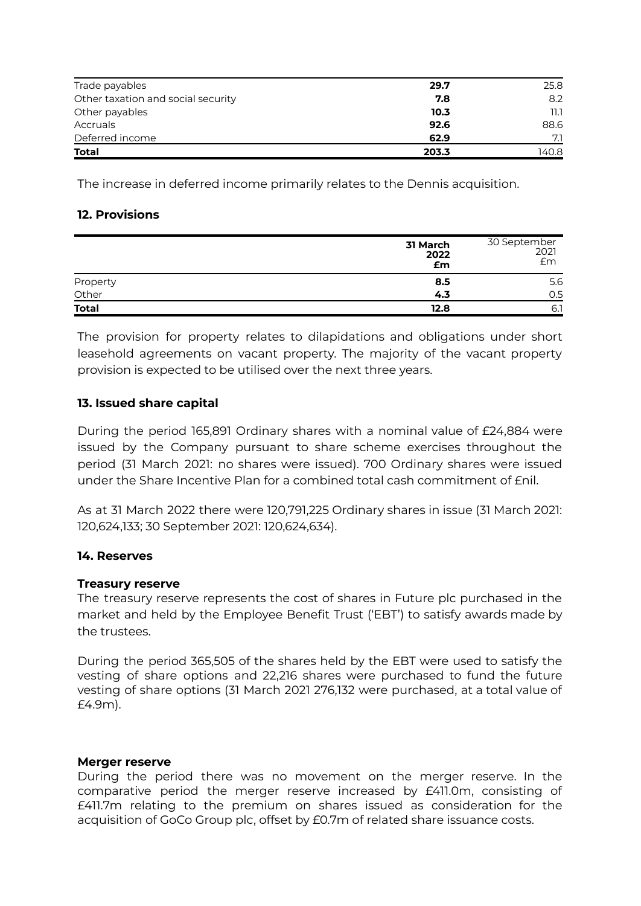| Trade payables                     | 29.7  | 25.8  |
|------------------------------------|-------|-------|
| Other taxation and social security | 7.8   | 8.2   |
| Other payables                     | 10.3  | ו.וו  |
| Accruals                           | 92.6  | 88.6  |
| Deferred income                    | 62.9  | 7.1   |
| <b>Total</b>                       | 203.3 | 140.8 |

The increase in deferred income primarily relates to the Dennis acquisition.

### **12. Provisions**

|              | 31 March<br>2022<br>£m | 30 September<br>2021<br>Em |
|--------------|------------------------|----------------------------|
| Property     | 8.5                    | 5.6                        |
| Other        | 4.3                    | 0.5                        |
| <b>Total</b> | 12.8                   | 6.1                        |

The provision for property relates to dilapidations and obligations under short leasehold agreements on vacant property. The majority of the vacant property provision is expected to be utilised over the next three years.

### **13. Issued share capital**

During the period 165,891 Ordinary shares with a nominal value of £24,884 were issued by the Company pursuant to share scheme exercises throughout the period (31 March 2021: no shares were issued). 700 Ordinary shares were issued under the Share Incentive Plan for a combined total cash commitment of £nil.

As at 31 March 2022 there were 120,791,225 Ordinary shares in issue (31 March 2021: 120,624,133; 30 September 2021: 120,624,634).

### **14. Reserves**

#### **Treasury reserve**

The treasury reserve represents the cost of shares in Future plc purchased in the market and held by the Employee Benefit Trust ('EBT') to satisfy awards made by the trustees.

During the period 365,505 of the shares held by the EBT were used to satisfy the vesting of share options and 22,216 shares were purchased to fund the future vesting of share options (31 March 2021 276,132 were purchased, at a total value of £4.9m).

#### **Merger reserve**

During the period there was no movement on the merger reserve. In the comparative period the merger reserve increased by £411.0m, consisting of £411.7m relating to the premium on shares issued as consideration for the acquisition of GoCo Group plc, offset by £0.7m of related share issuance costs.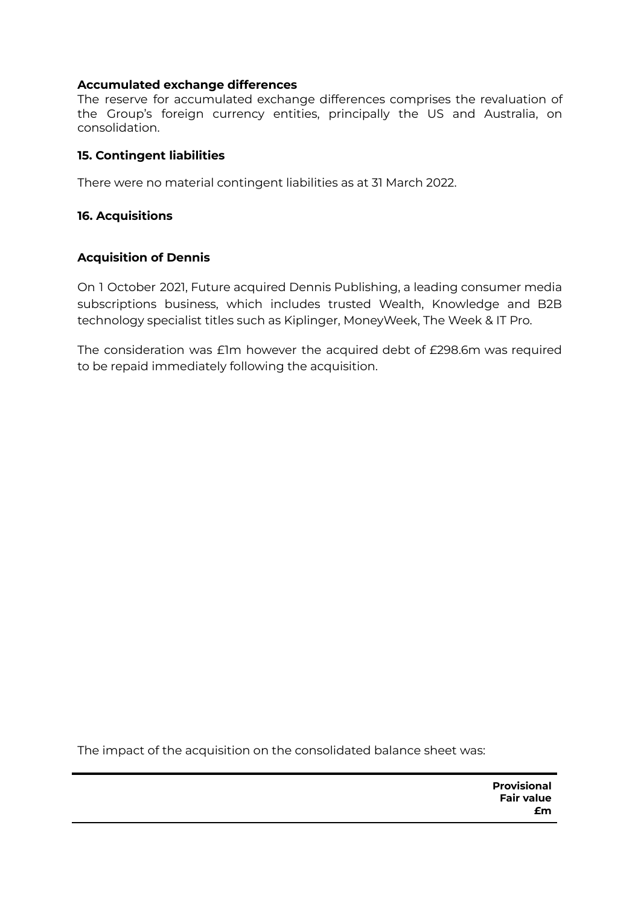### **Accumulated exchange differences**

The reserve for accumulated exchange differences comprises the revaluation of the Group's foreign currency entities, principally the US and Australia, on consolidation.

### **15. Contingent liabilities**

There were no material contingent liabilities as at 31 March 2022.

### **16. Acquisitions**

### **Acquisition of Dennis**

On 1 October 2021, Future acquired Dennis Publishing, a leading consumer media subscriptions business, which includes trusted Wealth, Knowledge and B2B technology specialist titles such as Kiplinger, MoneyWeek, The Week & IT Pro.

The consideration was £1m however the acquired debt of £298.6m was required to be repaid immediately following the acquisition.

The impact of the acquisition on the consolidated balance sheet was: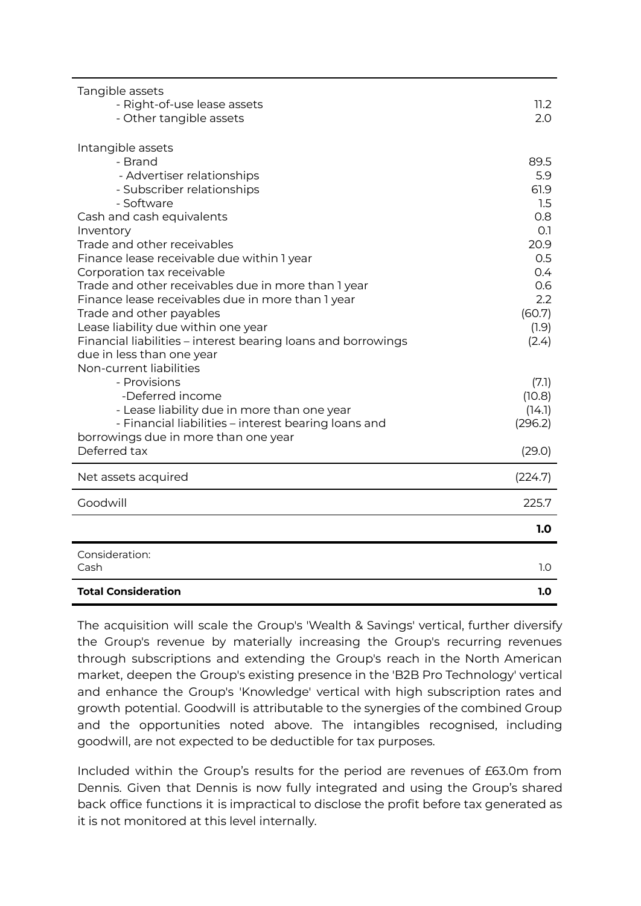| Tangible assets<br>- Right-of-use lease assets<br>- Other tangible assets                           | 11.2<br>2.0      |
|-----------------------------------------------------------------------------------------------------|------------------|
| Intangible assets                                                                                   |                  |
| - Brand                                                                                             | 89.5             |
| - Advertiser relationships                                                                          | 5.9              |
| - Subscriber relationships                                                                          | 61.9             |
| - Software                                                                                          | 1.5              |
| Cash and cash equivalents                                                                           | 0.8              |
| Inventory                                                                                           | O.1              |
| Trade and other receivables                                                                         | 20.9             |
| Finance lease receivable due within 1 year                                                          | 0.5              |
| Corporation tax receivable                                                                          | 0.4              |
| Trade and other receivables due in more than 1 year                                                 | 0.6              |
| Finance lease receivables due in more than 1 year                                                   | 2.2              |
| Trade and other payables                                                                            | (60.7)           |
| Lease liability due within one year                                                                 | (1.9)            |
| Financial liabilities – interest bearing loans and borrowings                                       | (2.4)            |
| due in less than one year<br>Non-current liabilities                                                |                  |
| - Provisions                                                                                        |                  |
| -Deferred income                                                                                    | (7.1)            |
|                                                                                                     | (10.8)<br>(14.1) |
| - Lease liability due in more than one year<br>- Financial liabilities - interest bearing loans and | (296.2)          |
| borrowings due in more than one year                                                                |                  |
| Deferred tax                                                                                        | (29.0)           |
|                                                                                                     |                  |
| Net assets acquired                                                                                 | (224.7)          |
| Goodwill                                                                                            | 225.7            |
|                                                                                                     | 1.0              |
| Consideration:                                                                                      |                  |
| Cash                                                                                                | 1.0              |
| <b>Total Consideration</b>                                                                          | 1.0              |

The acquisition will scale the Group's 'Wealth & Savings' vertical, further diversify the Group's revenue by materially increasing the Group's recurring revenues through subscriptions and extending the Group's reach in the North American market, deepen the Group's existing presence in the 'B2B Pro Technology' vertical and enhance the Group's 'Knowledge' vertical with high subscription rates and growth potential. Goodwill is attributable to the synergies of the combined Group and the opportunities noted above. The intangibles recognised, including goodwill, are not expected to be deductible for tax purposes.

Included within the Group's results for the period are revenues of £63.0m from Dennis. Given that Dennis is now fully integrated and using the Group's shared back office functions it is impractical to disclose the profit before tax generated as it is not monitored at this level internally.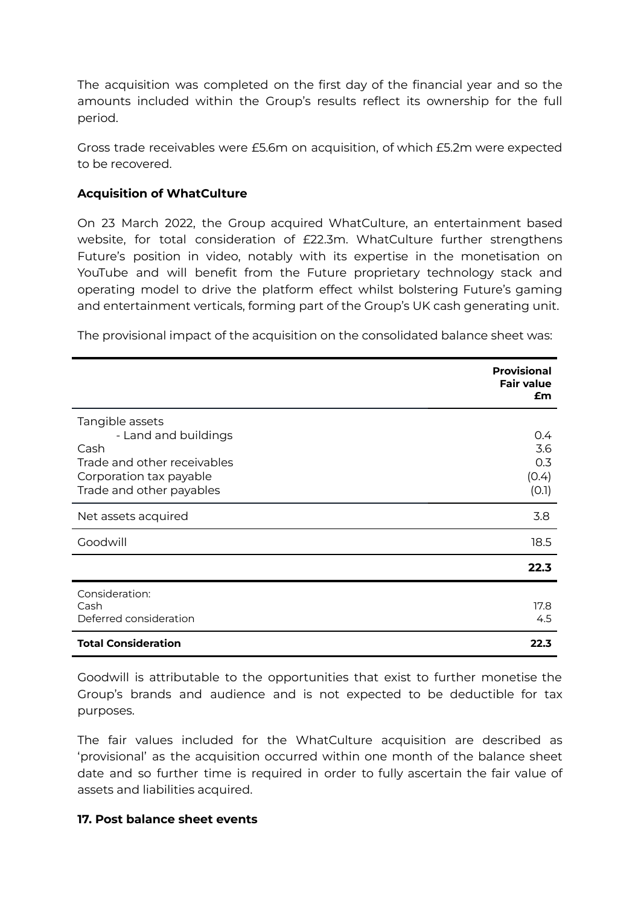The acquisition was completed on the first day of the financial year and so the amounts included within the Group's results reflect its ownership for the full period.

Gross trade receivables were £5.6m on acquisition, of which £5.2m were expected to be recovered.

### **Acquisition of WhatCulture**

On 23 March 2022, the Group acquired WhatCulture, an entertainment based website, for total consideration of £22.3m. WhatCulture further strengthens Future's position in video, notably with its expertise in the monetisation on YouTube and will benefit from the Future proprietary technology stack and operating model to drive the platform effect whilst bolstering Future's gaming and entertainment verticals, forming part of the Group's UK cash generating unit.

The provisional impact of the acquisition on the consolidated balance sheet was:

|                                                                                                                                       | <b>Provisional</b><br><b>Fair value</b><br>£m |
|---------------------------------------------------------------------------------------------------------------------------------------|-----------------------------------------------|
| Tangible assets<br>- Land and buildings<br>Cash<br>Trade and other receivables<br>Corporation tax payable<br>Trade and other payables | $0.4^{\circ}$<br>3.6<br>0.3<br>(0.4)<br>(0.1) |
| Net assets acquired                                                                                                                   | 3.8                                           |
| Goodwill                                                                                                                              | 18.5                                          |
|                                                                                                                                       | 22.3                                          |
| Consideration:<br>Cash<br>Deferred consideration                                                                                      | 17.8<br>4.5                                   |
| <b>Total Consideration</b>                                                                                                            | 22.3                                          |

Goodwill is attributable to the opportunities that exist to further monetise the Group's brands and audience and is not expected to be deductible for tax purposes.

The fair values included for the WhatCulture acquisition are described as 'provisional' as the acquisition occurred within one month of the balance sheet date and so further time is required in order to fully ascertain the fair value of assets and liabilities acquired.

#### **17. Post balance sheet events**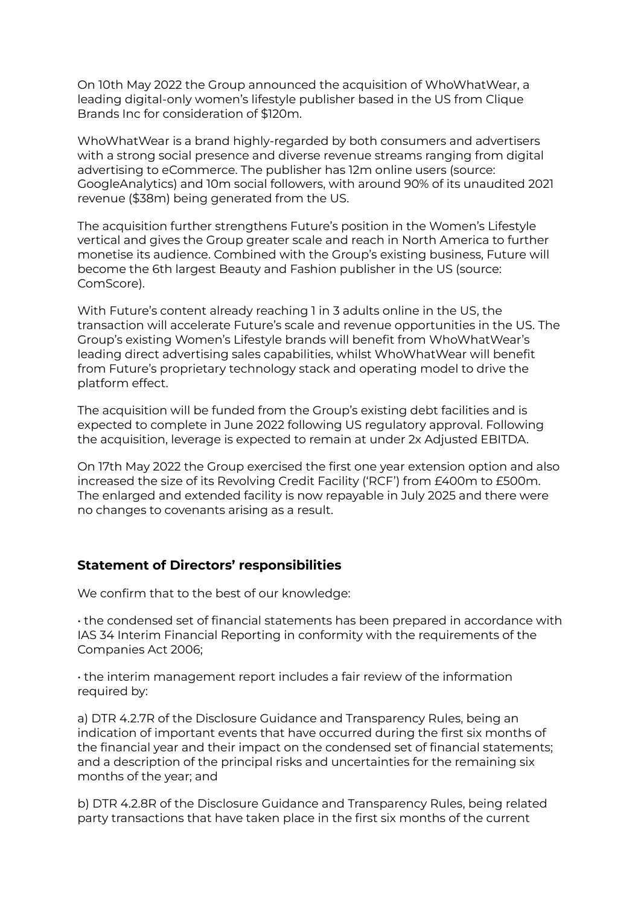On 10th May 2022 the Group announced the acquisition of WhoWhatWear, a leading digital-only women's lifestyle publisher based in the US from Clique Brands Inc for consideration of \$120m.

WhoWhatWear is a brand highly-regarded by both consumers and advertisers with a strong social presence and diverse revenue streams ranging from digital advertising to eCommerce. The publisher has 12m online users (source: GoogleAnalytics) and 10m social followers, with around 90% of its unaudited 2021 revenue (\$38m) being generated from the US.

The acquisition further strengthens Future's position in the Women's Lifestyle vertical and gives the Group greater scale and reach in North America to further monetise its audience. Combined with the Group's existing business, Future will become the 6th largest Beauty and Fashion publisher in the US (source: ComScore).

With Future's content already reaching 1 in 3 adults online in the US, the transaction will accelerate Future's scale and revenue opportunities in the US. The Group's existing Women's Lifestyle brands will benefit from WhoWhatWear's leading direct advertising sales capabilities, whilst WhoWhatWear will benefit from Future's proprietary technology stack and operating model to drive the platform effect.

The acquisition will be funded from the Group's existing debt facilities and is expected to complete in June 2022 following US regulatory approval. Following the acquisition, leverage is expected to remain at under 2x Adjusted EBITDA.

On 17th May 2022 the Group exercised the first one year extension option and also increased the size of its Revolving Credit Facility ('RCF') from £400m to £500m. The enlarged and extended facility is now repayable in July 2025 and there were no changes to covenants arising as a result.

### **Statement of Directors' responsibilities**

We confirm that to the best of our knowledge:

• the condensed set of financial statements has been prepared in accordance with IAS 34 Interim Financial Reporting in conformity with the requirements of the Companies Act 2006;

• the interim management report includes a fair review of the information required by:

a) DTR 4.2.7R of the Disclosure Guidance and Transparency Rules, being an indication of important events that have occurred during the first six months of the financial year and their impact on the condensed set of financial statements; and a description of the principal risks and uncertainties for the remaining six months of the year; and

b) DTR 4.2.8R of the Disclosure Guidance and Transparency Rules, being related party transactions that have taken place in the first six months of the current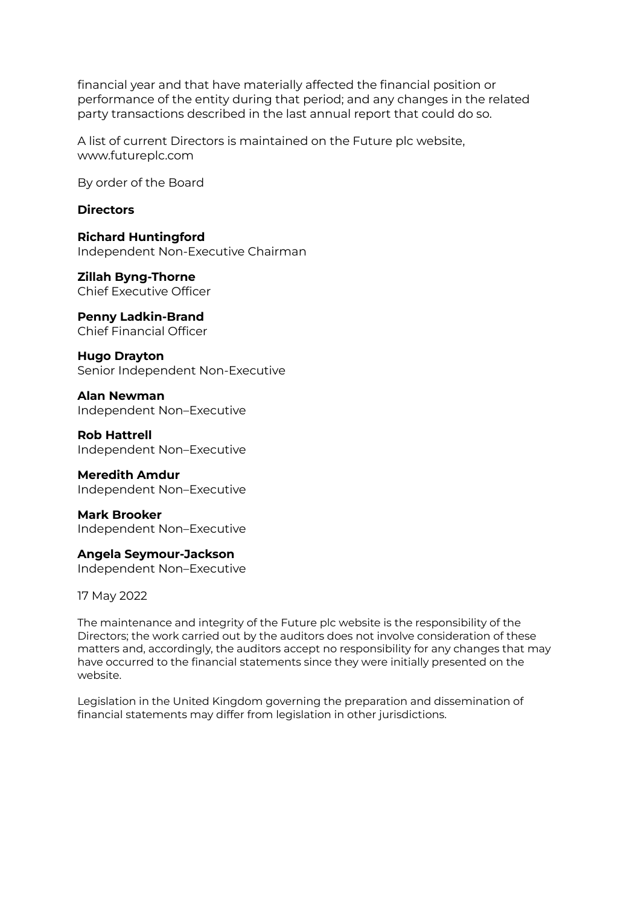financial year and that have materially affected the financial position or performance of the entity during that period; and any changes in the related party transactions described in the last annual report that could do so.

A list of current Directors is maintained on the Future plc website, www.futureplc.com

By order of the Board

#### **Directors**

**Richard Huntingford** Independent Non-Executive Chairman

**Zillah Byng-Thorne** Chief Executive Officer

**Penny Ladkin-Brand** Chief Financial Officer

**Hugo Drayton** Senior Independent Non-Executive

**Alan Newman** Independent Non–Executive

**Rob Hattrell** Independent Non–Executive

**Meredith Amdur** Independent Non–Executive

**Mark Brooker** Independent Non–Executive

**Angela Seymour-Jackson** Independent Non–Executive

17 May 2022

The maintenance and integrity of the Future plc website is the responsibility of the Directors; the work carried out by the auditors does not involve consideration of these matters and, accordingly, the auditors accept no responsibility for any changes that may have occurred to the financial statements since they were initially presented on the website.

Legislation in the United Kingdom governing the preparation and dissemination of financial statements may differ from legislation in other jurisdictions.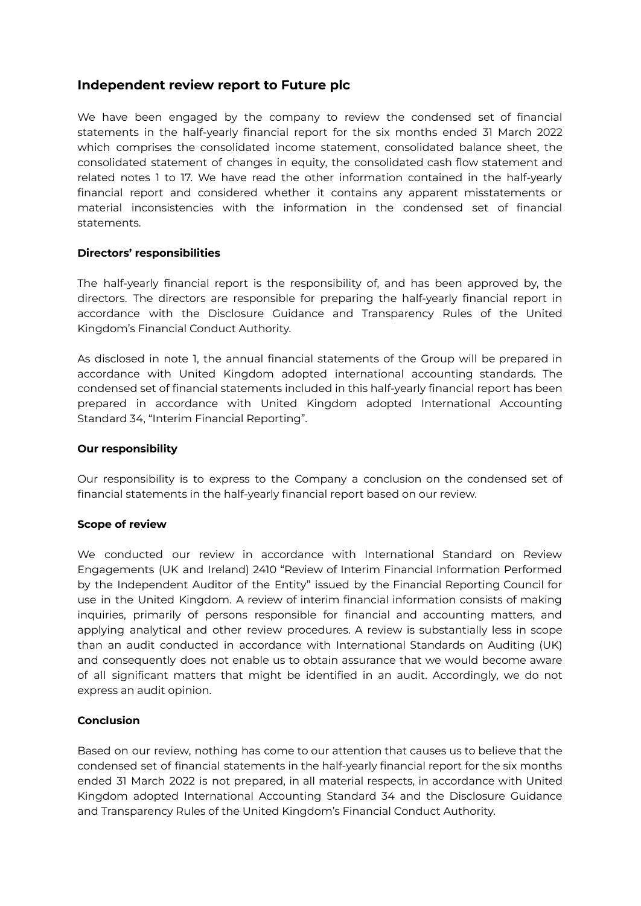### **Independent review report to Future plc**

We have been engaged by the company to review the condensed set of financial statements in the half-yearly financial report for the six months ended 31 March 2022 which comprises the consolidated income statement, consolidated balance sheet, the consolidated statement of changes in equity, the consolidated cash flow statement and related notes 1 to 17. We have read the other information contained in the half-yearly financial report and considered whether it contains any apparent misstatements or material inconsistencies with the information in the condensed set of financial statements.

#### **Directors' responsibilities**

The half-yearly financial report is the responsibility of, and has been approved by, the directors. The directors are responsible for preparing the half-yearly financial report in accordance with the Disclosure Guidance and Transparency Rules of the United Kingdom's Financial Conduct Authority.

As disclosed in note 1, the annual financial statements of the Group will be prepared in accordance with United Kingdom adopted international accounting standards. The condensed set of financial statements included in this half-yearly financial report has been prepared in accordance with United Kingdom adopted International Accounting Standard 34, "Interim Financial Reporting".

#### **Our responsibility**

Our responsibility is to express to the Company a conclusion on the condensed set of financial statements in the half-yearly financial report based on our review.

#### **Scope of review**

We conducted our review in accordance with International Standard on Review Engagements (UK and Ireland) 2410 "Review of Interim Financial Information Performed by the Independent Auditor of the Entity" issued by the Financial Reporting Council for use in the United Kingdom. A review of interim financial information consists of making inquiries, primarily of persons responsible for financial and accounting matters, and applying analytical and other review procedures. A review is substantially less in scope than an audit conducted in accordance with International Standards on Auditing (UK) and consequently does not enable us to obtain assurance that we would become aware of all significant matters that might be identified in an audit. Accordingly, we do not express an audit opinion.

#### **Conclusion**

Based on our review, nothing has come to our attention that causes us to believe that the condensed set of financial statements in the half-yearly financial report for the six months ended 31 March 2022 is not prepared, in all material respects, in accordance with United Kingdom adopted International Accounting Standard 34 and the Disclosure Guidance and Transparency Rules of the United Kingdom's Financial Conduct Authority.